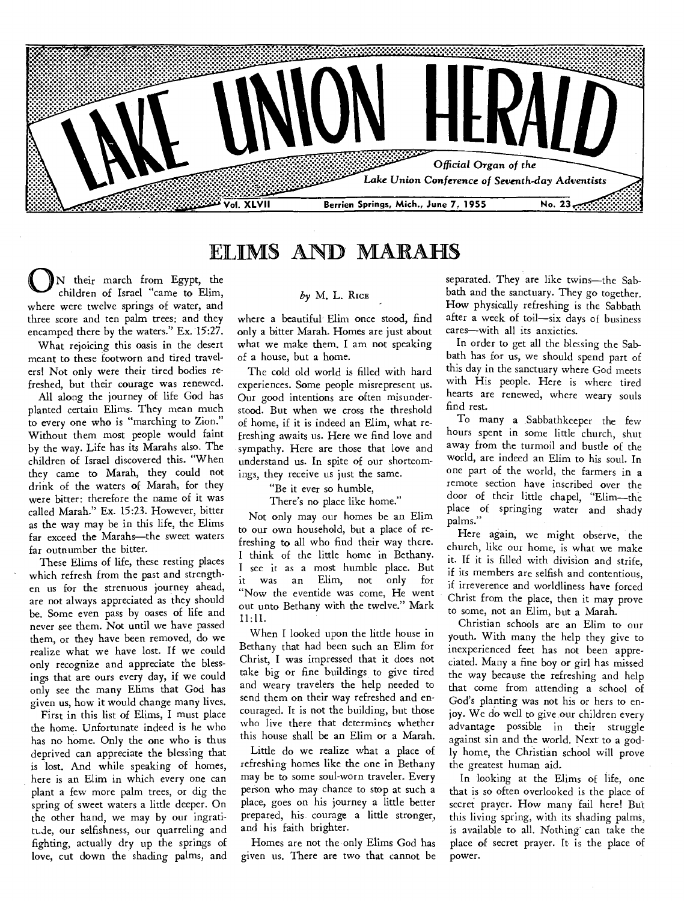

## ELIMS AND MARAHS

N their march from Egypt, the children of Israel "came to Elim, where were twelve springs of water, and three score and ten palm trees: and they encamped there by the waters." Ex. 15:27.

What rejoicing this oasis in the desert meant to these footworn and tired travelers! Not only were their tired bodies refreshed, but their courage was renewed.

All along the journey of life God has planted certain Elims. They mean much to every one who is "marching to Zion." Without them most people would faint by the way. Life has its Marahs also. The children of Israel discovered this. "When they came to Marah, they could not drink of the waters of Marah, for they were bitter: therefore the name of it was called Marah." Ex. 15:23. However, bitter as the way may be in this life, the Elims far exceed the Marahs—the sweet waters far outnumber the bitter.

These Elims of life, these resting places which refresh from the past and strengthen us for the strenuous journey ahead, are not always appreciated as they should be. Some even pass by oases of life and never see them. Not until we have passed them, or they have been removed, do we realize what we have lost. If we could only recognize and appreciate the blessings that are ours every day, if we could only see the many Elims that God has given us, how it would change many lives.

First in this list of Elims, I must place the home. Unfortunate indeed is he who has no home. Only the one who is thus deprived can appreciate the blessing that is lost. And while speaking of homes, here is an Elim in which every one can plant a few more palm trees, or dig the spring of sweet waters a little deeper. On the other hand, we may by our ingratitt.de, our selfishness, our quarreling and fighting, actually dry up the springs of love, cut down the shading palms, and

#### *by* M. L. **RICE**

where a beautiful' Elim once stood, find only a bitter Marah. Homes are just about what we make them. I am not speaking of a house, but a home.

The cold old world is filled with hard experiences. Some people misrepresent us. Our good intentions are often misunderstood. But when we cross the threshold of home, if it is indeed an Elim, what refreshing awaits us. Here we find love and sympathy. Here are those that love and understand us. In spite of our shortcomings, they receive us just the same.

### "Be it ever so humble,

There's no place like home."

Not only may our homes be an Elim to our own household, but a place of refreshing to all who find their way there. I think of the little home in Bethany. I see it as a most humble place. But it was an Elim, not only for "Now the eventide was come, He went out unto Bethany with the twelve." Mark 11:11.

When I looked upon the little house in Bethany that had been such an Elim for Christ, **I** was impressed that it does not take big or fine buildings to give tired and weary travelers the help needed to send them on their way refreshed and encouraged. It is not the building, but those who live there that determines whether this house shall be an Elim or a Marah.

Little do we realize what a place of refreshing homes like the one in Bethany may be to some soul-worn traveler. Every person who may chance to stop at such a place, goes on his journey a little better prepared, his courage a little stronger, and his faith brighter.

Homes are not the only Elims God has given us. There are two that cannot be

separated. They are like twins—the Sabbath and the sanctuary. They go together. How physically refreshing is the Sabbath after a week of toil—six days of business cares—with all its anxieties.

In order to get all the blessing the Sabbath has for us, we should spend part of this day in the sanctuary where God meets with His people. Here is where tired hearts are renewed, where weary souls find rest.

To many a .Sabbathkeeper the few hours spent in some little church, shut away from the turmoil and bustle of the world, are indeed an Elim to his soul. **In**  one part of the world, the farmers in a remote section have inscribed over the door of their little chapel, "Elim—the place of springing water and shady palms."

Here again, we might observe, the church, like our home, is what we make it. If it is filled with division and strife, if its members are selfish and contentious, if irreverence and worldliness have forced Christ from the place, then it may prove to some, not an Elim, but a Marah.

Christian schools are an Elim to our youth. With many the help they give to inexperienced feet has not been appreciated. Many a fine boy or girl has missed the way because the refreshing and help that come from attending a school of God's planting was not his or hers to enjoy. We do well to give our children every advantage possible in their struggle against sin and the world. Next to a godly home, the Christian school will prove the greatest human aid.

In looking at the Elims of life, one that is so often overlooked is the place of secret prayer. How many fail here! But this living spring, with its shading palms, is available to all. Nothing can take the place of secret prayer. It is the place of power.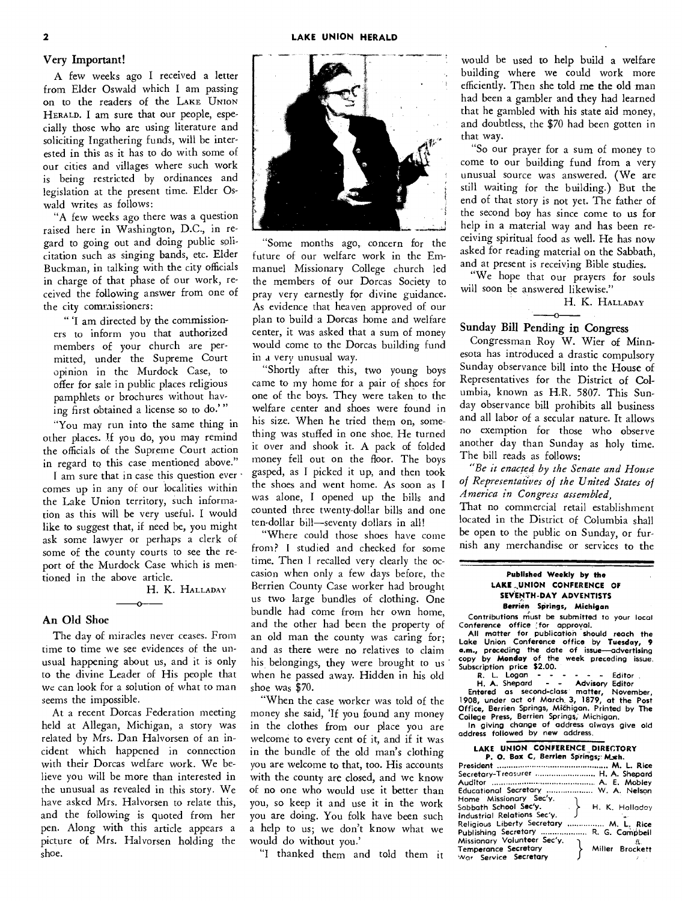#### **2 LAKE UNION HERALD**

#### Very Important!

A few weeks ago I received a letter from Elder Oswald which I am passing on to the readers of the LAKE UNION HERALD. I am sure that our people, especially those who are using literature and soliciting Ingathering funds, will be interested in this as it has to do with some of our cities and villages where such work is being restricted by ordinances and legislation at the present time. Elder Oswald writes as follows:

"A few weeks ago there was a question raised here in Washington, D.C., in regard to going out and doing public solicitation such as singing bands, etc. Elder Buckman, in talking with the city officials in charge of that phase of our work, received the following answer from one of the city commissioners:

" 'I am directed by the commissioners to inform you that authorized members of your church are permitted, under the Supreme Court opinion in the Murdock Case, to offer for sale in public places religious pamphlets or brochures without having first obtained a license so to do.' "

"You may run into the same thing in other places. If you do, you may remind the officials of the Supreme Court action in regard to this case mentioned above."

I am sure that in case this question ever ' comes up in any of our localities within the Lake Union territory, such information as this will be very useful. I would like to suggest that, if need be, you might ask some lawyer or perhaps a clerk of some of the county courts to see the report of the Murdock Case which is mentioned in the above article.

H. K. HALLADAY

#### An Old Shoe

The day of miracles never ceases. From time to time we see evidences of the unusual happening about us, and it is only to the divine Leader of His people that we can look for a solution of what to man seems the impossible.

At a recent Dorcas Federation meeting held at Allegan, Michigan, a story was related by Mrs. Dan Halvorsen of an incident which happened in connection with their Dorcas welfare work. We believe you will be more than interested in the unusual as revealed in this story. We have asked Mrs. Halvorsen to relate this, and the following is quoted from her pen. Along with this article appears a picture of Mrs. Halvorsen holding the shoe.



"Some months ago, concern for the future of our welfare work in the Emmanuel Missionary College church led the members of our Dorcas Society to pray very earnestly for divine guidance. As evidence that heaven approved of our plan to build a Dorcas home and welfare center, it was asked that a sum of money would come to the Dorcas building fund in a very unusual way.

"Shortly after this, two young boys came to my home for a pair of shoes for one of the boys. They were taken to the welfare center and shoes were found in his size. When he tried them on, something was stuffed in one shoe. He turned it over and shook it. A pack of folded money fell out on the floor. The boys gasped, as I picked it up, and then took the shoes and went home. As soon as I was alone, I opened up the bills and counted three twenty-dollar bills and one ten-dollar bill—seventy dollars in all!

"Where could those shoes have come from? I studied and checked for some time. Then I recalled very clearly the occasion when only a few days before, the Berrien County Case worker had brought us two large bundles of clothing. One bundle had come from her own home, and the other had been the property of an old man the county was caring for; and as there were no relatives to claim his belongings, they were brought to us when he passed away. Hidden in his old shoe was \$70.

"When the case worker was told of the money she said, 'If you found any money in the clothes from our place you are welcome to every cent of it, and if it was in the bundle of the old man's clothing you are welcome to that, too. His accounts with the county are closed, and we know of no one who would use it better than you, so keep it and use it in the work you are doing. You folk have been such a help to us; we don't know what we would do without you.'

"I thanked them and told them it

would be used to help build a welfare building where we could work more efficiently. Then she told me the old man had been a gambler and they had learned that he gambled with his state aid money, and doubtless, the \$70 had been gotten in that way.

"So our prayer for a sum of money to come to our building fund from a very unusual source was answered. (We are still waiting for the building.) But the end of that story is not yet. The father of the second boy has since come to us for help in a material way and has been receiving spiritual food as well. He has now asked for reading material on the Sabbath, and at present is receiving Bible studies.

"We hope that our prayers for souls will soon be answered likewise."

H. K. HALLADAY

#### Sunday Bill Pending in Congress

Congressman Roy W. Wier of Minnesota has introduced a drastic compulsory Sunday observance bill into the House of Representatives for the District of Columbia, known as H.R. 5807. This Sunday observance bill prohibits all business and all labor of a secular nature. It allows no exemption for those who observe another day than Sunday as holy time. The bill reads as follows:

*"Be it enacted by the Senate and House of Representatives of the United States of America in Congress assembled,* 

That no commercial retail establishment located in the District of Columbia shall be open to the public on Sunday, or furnish any merchandise or services to the

#### **Published Weekly by the LAKE ,UNION CONFERENCE OF SEVENTH-DAY ADVENTISTS Berrien Springs, Michigan**

Contributions must be submitted to your local

Conference office (for approval.<br>
All matter for publication should reach the<br>
Lake Union Conference office by Tuesday, 9<br>
a.m., preceding the date of issue—advertising<br>
copy by **Monday** of the week preceding issue.<br>
Subsc

R. L. Logan - - - - - - Editor<br>H. A. Shepard - - Advisory Editor

Entered as second-class matter, November, 1908, under act of March. 3, 1879, at the Post

Office, Berrien Springs, Mičhigan. Printed by The<br>College Press, Berrien Springs, Michigan.<br>In giving change of address always give old

address followed by new address.

### **LAKE UNION CONFERENCE DIRECTORY**<br>**P. O. Box C, Berrien Springs;: M.sch.**

| Secretary-Treasurer  H. A. Shepard<br>Educational Secretary  W. A. Nelson                                                                                                                               |                                                        |
|---------------------------------------------------------------------------------------------------------------------------------------------------------------------------------------------------------|--------------------------------------------------------|
| Home Missionary Sec'v.<br>Sabbath <b>School Sec'y.</b><br>Industrial Relations Sec'v.<br>Religious Liberty Secretary  M. L. Rice<br>Publishing Secretary  R. G. Campbell<br>Missionary Volunteer Sec'y. | $\langle \cdot \rangle$ H. K. Halladoy<br>$\mathbf{r}$ |
| Temperance Secretary<br>War Service Secretary                                                                                                                                                           | Miller Brockett                                        |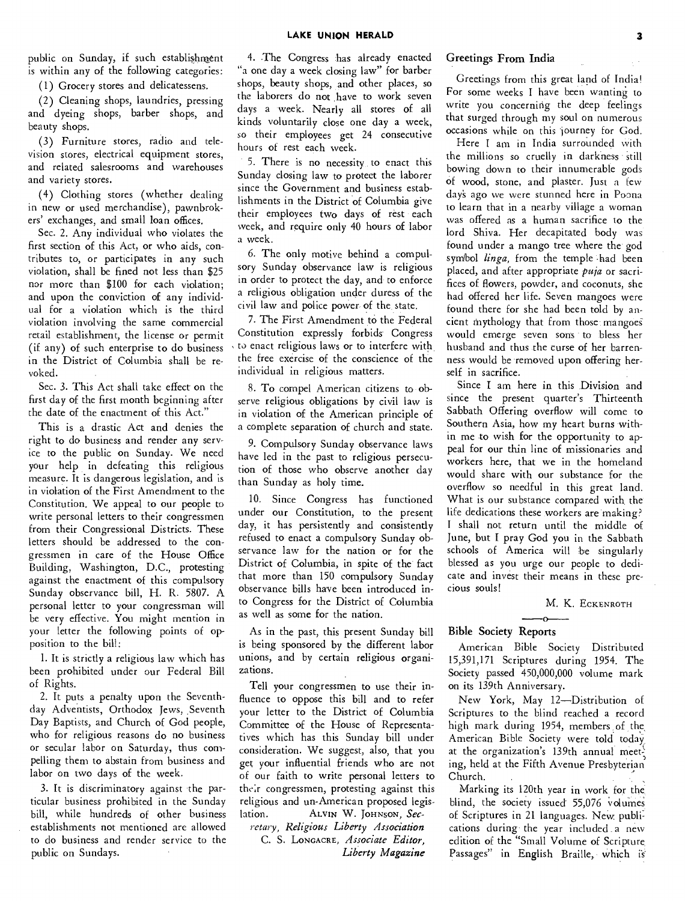public on Sunday, if such establishment is within any of the following categories:

(1) Grocery stores and delicatessens.

(2) Cleaning shops, laundries, pressing and dyeing shops, barber shops, and beauty shops.

(3) Furniture stores, radio and television stores, electrical equipment stores, and related salesrooms and warehouses and variety stores.

(4) Clothing stores (whether dealing in new or used merchandise), pawnbrokers' exchanges, and small loan offices.

Sec. 2. Any individual who violates the first section of this Act, or who aids, contributes to, or participates in any such violation, shall be fined not less than \$25 nor more than \$100 for each violation; and upon the conviction of any individual for a violation which is the third violation involving the same commercial retail establishment, the license or permit (if any) of such enterprise to do business in the District of Columbia shall be revoked.

Sec. 3. This Act shall take effect on the first day of the first month beginning after the date of the enactment of this Act."

This is a drastic Act and denies the right to do business and render any service to the public on Sunday. We need your help in defeating this religious measure. It is dangerous legislation, and is in violation of the First Amendment to the Constitution. We appeal to our people to write personal letters to their congressmen from their Congressional Districts. These letters should be addressed to the congressmen in care of the House Office Building, Washington, D.C., protesting against the enactment of this compulsory Sunday observance bill, H. R. 5807. A personal letter to your congressman will be very effective. You might mention in your letter the following points of opposition to the bill:

1. It is strictly a religious law which has been prohibited under our Federal Bill of Rights.

2. It puts a penalty upon the Seventhday Adventists, Orthodox Jews, Seventh Day Baptists, and Church of God people, who for religious reasons do no business or secular labor on Saturday, thus compelling them to abstain from business and labor on two days of the week.

3. It is discriminatory against the particular business prohibited in the Sunday bill, while hundreds of other business establishments not mentioned are allowed to do business and render service to the public on Sundays.

4. The Congress has already enacted "a one day a week closing law" for barber shops, beauty shops, and other places, so the laborers do not have to work seven days a week. Nearly all stores of all kinds voluntarily close one day a week, so their employees get 24 consecutive hours of rest each week.

5. There is no necessity to enact this Sunday closing law to protect the laborer since the Government and business establishments in the District of Columbia give their employees two days of rest each week, and require only 40 hours of labor a week.

6. The only motive behind a compulsory Sunday observance law is religious in order to protect the day, and to enforce a religious obligation under duress of the civil law and police power of the state.

7. The First Amendment to the Federal Constitution expressly forbids' Congress to enact religious laws or to interfere with the free exercise of the conscience of the individual in religious matters.

8. To compel American citizens to observe religious obligations by civil law is in violation of the American principle of a complete separation of church and state.

9. Compulsory Sunday observance laws have led in the past to religious persecution of those who observe another day than Sunday as holy time.

10. Since Congress has functioned under our Constitution, to the present day, it has persistently and consistently refused to enact a compulsory Sunday observance law for the nation or for the District of Columbia, in spite of the fact that more than 150 compulsory Sunday observance bills have been introduced into Congress for the District of Columbia as well as some for the nation.

As in the past, this present Sunday bill is being sponsored by the different labor unions, and by certain religious organizations.

Tell your congressmen to use their influence to oppose this bill and to refer your letter to the District of Columbia Committee of the House of Representatives which has this Sunday bill under consideration. We suggest, also, that you get your influential friends who are not of our faith to write personal letters to their congressmen, protesting against this religious and un-American proposed legislation. ALVIN W. JOHNSON, Sec-

*retary, Religious Liberty Association*  C. S. LONOACRE, *Associate Editor, Liberty Magazine* 

#### Greetings From India

Greetings from this great land of India! For some weeks I have been wanting to write you concerning the deep feelings that surged through my soul on numerous occasions while on this 'journey for God.

Here I am in India surrounded with the millions so cruelly in darkness still bowing down to their innumerable gods of wood, stone, and plaster. Just a few day's ago we were stunned here in Poona to learn that in a nearby village a woman was offered as a human sacrifice to the lord Shiva. Her decapitated body was found under a mango tree where the god symbol *linga,* from the temple .had been placed, and after appropriate *puja* or sacrifices of flowers, powder, and coconuts, she had offered her life. Seven mangoes were found there for she had been told by ancient mythology that from those mangoe would emerge seven sons to bless her husband and thus the curse of her barrenness would be removed upon offering herself in sacrifice.

Since I am here in this Division and since the present quarter's Thirteenth Sabbath Offering overflow will come to Southern Asia, how my heart burns within me to wish for the opportunity to appeal for our thin line of missionaries and workers here, that we in the homeland would share with our substance for the overflow so needful in this great land. What is our substance compared with the life dedications these workers are making? I shall not return until the middle of June, but I pray God you in the Sabbath schools of America will be singularly blessed as you urge our people to dedicate and invest their means in these precious souls!

### M. K. ECKENROTH K. E

#### **Bible Society Reports**

American Bible Society Distributed 15,391,171 Scriptures during 1954. The Society passed 450,000,000 volume mark on its 139th Anniversary.

New York, May 12—Distribution of Scriptures to the blind reached a record high mark during 1954, members of the, American Bible Society were told today at the organization's 139th annual meet ing, held at the Fifth Avenue Presbyterian Church.

Marking its 120th year in work for the blind, the society issued 55,076 volumes of Scriptures in 21 languages. New publi: cations during the year included . a new edition of the "Small Volume of Scripture. Passages" in English Braille, which is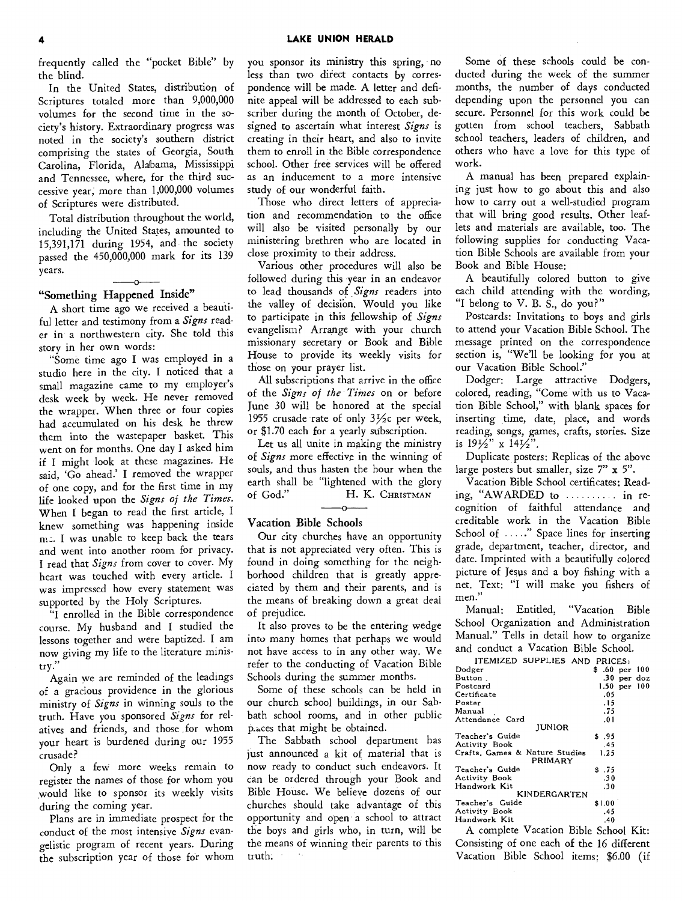frequently called the "pocket Bible" by the blind.

In the United States, distribution of Scriptures totaled more than 9,000,000 volumes for the second time in the society's history. Extraordinary progress was noted in the society's southern district comprising the states of Georgia, South Carolina, Florida, Alabama, Mississippi and Tennessee, where, for the third successive year, more than 1,000,000 volumes of Scriptures were distributed.

Total distribution throughout the world, including the United States, amounted to 15,391,171 during 1954, and the society passed the 450,000,000 mark for its 139 years.

 $-\alpha$ 

#### "Something Happened Inside"

A short time ago we received a beautiful letter and testimony from a *Signs* reader in a northwestern city. She told this story in her own words:

"Some time ago I was employed in a studio here in the city. I noticed that a small magazine came to my employer's desk week by week. He never removed the wrapper. When three or four copies had accumulated on his desk he threw them into the wastepaper basket. This went on for months. One day I asked him if I might look at these magazines. He said, 'Go ahead.' I removed the wrapper of one copy, and for the first time in my life looked upon the *Signs of the Times.*  When I began to read the first article, I knew something was happening inside me. I was unable to keep back the tears and went into another room for privacy. I read that *Signs* from cover to cover. My heart was touched with every article. I was impressed how every statement was supported by the Holy Scriptures.

"I enrolled in the Bible correspondence course. My husband and I studied the lessons together and were baptized. I am now giving my life to the literature ministry."

Again we are reminded of the leadings of a gracious providence in the glorious ministry of *Signs* in winning souls to the truth. Have you sponsored *Signs* for relatives and friends, and those for whom your heart is burdened during our 1955 crusade?

Only a few more weeks remain to register the names of those for whom you would like to sponsor its weekly visits during the coming year.

Plans are in immediate prospect for the conduct of the most intensive *Signs* evangelistic program of recent years. During the subscription year of those for whom

you sponsor its ministry this spring, no less than two direct contacts by correspondence will be made. A letter and definite appeal will be addressed to each subscriber during the month of October, designed to ascertain what interest *Signs* is creating in their heart, and also to invite them to enroll in the Bible correspondence school. Other free services will be offered as an inducement to a more intensive study of our wonderful faith.

Those who direct letters of appreciation and recommendation to the office will also be visited personally by our ministering brethren who are located in close proximity to their address.

Various other procedures will also be followed during this year in an endeavor to lead thousands of *Signs* readers into the valley of decision. Would you like to participate in this fellowship of *Signs*  evangelism? Arrange with your church missionary secretary or Book and Bible House to provide its weekly visits for those on your prayer list.

All subscriptions that arrive in the office of the *Signs of the Times* on or before June 30 will be honored at the special 1955 crusade rate of only  $3\frac{1}{2}c$  per week, or \$1.70 each for a yearly subscription.

Let us all unite in making the ministry of *Signs* more effective in the winning of souls, and thus hasten the hour when the earth shall be "lightened with the glory of God." H. K. CHRISTMAN

Vacation Bible Schools

Our city churches have an opportunity that is not appreciated very often. This is found in doing something for the neighborhood children that is greatly appreciated by them and their parents, and is the means of breaking down a great deal of prejudice.

It also proves to be the entering wedge into many homes that perhaps we would not have access to in any other way. We refer to the conducting of Vacation Bible Schools during the summer months.

Some of these schools can be held in our church school buildings, in our Sabbath school rooms, and in other public p.aces that might be obtained.

The Sabbath school department has just announced a kit of material that is now ready to conduct such endeavors. It can be ordered through your Book and Bible House. We believe dozens of our churches should take advantage of this opportunity and open a school to attract the boys and girls who, in turn, will be the means of winning their parents to this truth.

Some of these schools could be conducted during the week of the summer months, the number of days conducted depending upon the personnel you can secure. Personnel for this work could be gotten from school teachers, Sabbath school teachers, leaders of children, and others who have a love for this type of work.

A manual has been prepared explaining just how to go about this and also how to carry out a well-studied program that will bring good results. Other leaflets and materials are available, too. The following supplies for conducting Vacation Bible Schools are available from your Book and Bible House:

A beautifully colored button to give each child attending with the wording, "I belong to V. B. S., do you?"

Postcards: Invitations to boys and girls to attend your Vacation Bible School. The message printed on the correspondence section is, "We'll be looking for you at our Vacation Bible School."

Dodger: Large attractive Dodgers, colored, reading, "Come with us to Vacation Bible School," with blank spaces for inserting time, date, place, and words reading, songs, games, crafts, stories. Size is  $19\overline{2}$ " x  $14\overline{2}$ ".

Duplicate posters: Replicas of the above large posters but smaller, size 7" x 5".

Vacation Bible School certificates: Reading, "AWARDED to ........... in recognition of faithful attendance and creditable work in the Vacation Bible School of ....." Space lines for inserting grade, department, teacher, director, and date. Imprinted with a beautifully colored picture of Jesus and a boy fishing with a net. Text: "I will make you fishers of men."

Manual: Entitled, "Vacation Bible School Organization and Administration Manual." Tells in detail how to organize and conduct a Vacation Bible School.

| ITEMIZED SUPPLIES AND PRICES:             |        |                  |  |
|-------------------------------------------|--------|------------------|--|
| Dodger                                    |        | \$ .60 per 100   |  |
| Button.                                   |        | .30 per doz      |  |
| Postcard                                  |        | $1.50$ per $100$ |  |
| Certificate                               | .05    |                  |  |
| Poster                                    | . 15   |                  |  |
| Manual                                    | .75    |                  |  |
| Attendance Card                           | .01    |                  |  |
| <b>JUNIOR</b>                             |        |                  |  |
| Teacher's Guide                           | \$95   |                  |  |
| Activity Book                             | .45    |                  |  |
| Crafts, Games & Nature Studies<br>PRIMARY | 1.25   |                  |  |
| Teacher's Guide                           | \$.75  |                  |  |
| Activity Book                             | .30    |                  |  |
| Handwork Kit                              | .30    |                  |  |
| KINDERGARTEN                              |        |                  |  |
| Teacher's Guide                           | \$1.00 |                  |  |
| <b>Activity Book</b>                      | .45    |                  |  |
| Handwork Kit                              | .40    |                  |  |

A complete Vacation Bible School Kit: Consisting of one each of the 16 different Vacation Bible School items: \$6.00 (if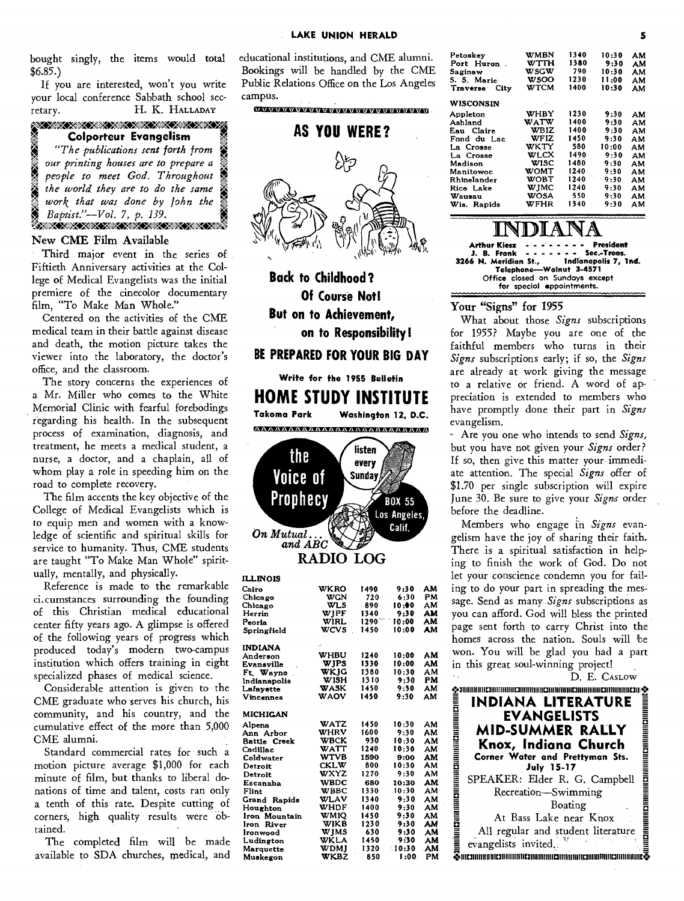bought singly, the items would total \$6.85.)

If you are interested, won't you write your local conference Sabbath school secretary. **H.** K. **HALLADAY** 

| <u> SAX SAX SAX SAX SAX SAX SAX SA</u><br><b>Colporteur Evangelism</b> |
|------------------------------------------------------------------------|
| "The publications sent forth from                                      |
| our printing houses are to prepare a                                   |
| people to meet God. Throughout                                         |
| the world they are to do the same                                      |
| work that was done by John the<br>Baptist."-Vol. 7, p. 139.            |
|                                                                        |

#### **New CME Film Available**

**Third** major event in the series of Fiftieth Anniversary activities at the College of Medical Evangelists was the initial premiere of the cinecolor documentary film, "To Make Man Whole."

Centered on the activities of the CME medical team in their battle against disease and death, the motion picture takes the viewer into the laboratory, the doctor's office, and the classroom.

The story concerns the experiences of a Mr. Miller who comes to the White Memorial Clinic with fearful forebodings regarding his health. In the subsequent process of examination, diagnosis, and treatment, he meets a medical student, a nurse, a doctor, and a chaplain, all of whom play a role in speeding him on the road to complete recovery.

The film accents the key objective of the College of Medical Evangelists which is to equip men and women with a knowledge of scientific and spiritual skills for service to humanity. Thus, CME students are taught "To Make Man Whole" spiritually, mentally, and physically.

Reference is made to the remarkable ci.cumstances surrounding the founding of this Christian medical educational center fifty years ago. A glimpse is offered of the following years of progress which produced today's modern two-campus institution which offers training in eight specialized phases of medical science.

Considerable attention is given to the CME graduate who serves his church, his community, and his country, and the cumulative effect of the more than 5,000 CME alumni.

Standard commercial rates for such a motion picture average \$1,000 for each minute of film, but thanks to liberal donations of time and talent, costs ran only a tenth of this rate. Despite cutting of corners, high quality results were obtained.

The completed film will be made available to SDA churches, medical, and educational institutions, and CME alumni. Bookings will be handled by the CME **Public** Relations Office on the Los Angeles campus.

erimaiaim



**Back to Childhood? Of Course Not! But on to Achievement, on to Responsibility! BE PREPARED FOR YOUR BIG DAY** 

**Write for the 1955 Bulletin** 

**HOME STUDY INSTITUTE Takoma Park Washington 12, D.C.**  <u> aaaaaaaaaaaaaaaaaaaaaaaa</u>



| ILLINOIS        |             |                |       |    |
|-----------------|-------------|----------------|-------|----|
| Cairo           | WKRO        | 1490           | 9:30  | AM |
| Chicago         | WGN         | 720            | 6:30  | РM |
| Chicago         | WLS         | 890            | 10:00 | ΑМ |
| Herrin          | WJPF        | 1340           | 9:30  | AM |
| Peoria          | <b>WIRL</b> | $1290$ $^{-1}$ | 10:00 | AM |
| Springfield     | wcvs        | 1450           | 10:00 | AM |
| <b>INDIANA</b>  |             |                |       |    |
| Anderson        | WHBU        | 1240           | 10:00 | АМ |
| Evansville      | WJPS        | 1330           | 10:00 | AM |
| Ft. Wayne       | WKJG        | 1380           | 10:30 | AМ |
| Indianapolis    | <b>WISH</b> | 1310           | 9:30  | PМ |
| Lafayette       | WASK        | 1450           | 9:30  | AМ |
| Vincennes       | <b>WAOV</b> | 1450           | 9:30  | ΑМ |
| <b>MICHIGAN</b> |             |                |       |    |
| Alpena          | WATZ        | 1450           | 10:30 | ΑМ |
| Ann Arbor       | WHRV        | 1600           | 9:30  | АМ |
| Battle Creek    | <b>WBCK</b> | 930            | 10:30 | ΑМ |
| Cadillac        | WATT        | 1240           | 10:30 | AМ |
| Coldwater       | WTVB        | 1590           | 9:00  | AM |
| Detroit         | <b>CKLW</b> | 800            | 10:30 | АМ |
| Detroit         | wxyz        | 1270           | 9:30  | ΑМ |
| Escanaba        | <b>WBDC</b> | 680            | 10:30 | AM |
| Flint           | <b>WBBC</b> | 1330           | 10:30 | ΑМ |
| Grand Rapids    | WLAV        | 1340           | 9:30  | ΑМ |
| Houghton        | WHDF        | 1400           | 9:30  | AM |
| Iron Mountain   | WMIO        | 1450           | 9:30  | AM |
| Iron River      | WIKB        | 1230           | 9:30  | AM |
| Ironwood        | WJMS        | 630            | 9:30  | AM |
| Ludington       | WKLA        | 1450           | 9:30  | AM |
| Marquette       | WDMI        | 1320           | 10:30 | AM |
| Muskegon        | <b>WKBZ</b> | 850            | 1:00  | PМ |

| Petoskey         | WMBN        | 1340 | 10:30 | ΑМ |
|------------------|-------------|------|-------|----|
| Port Huron.      | WTTH        | 1380 | 9:30  | ΑМ |
| Saginaw          | wscw        | 790  | 10:30 | ΑМ |
| S. S. Marie      | <b>wsoo</b> | 1230 | 11:00 | ΑМ |
| Traverse<br>City | WTCM        | 1400 | 10:30 | ΑМ |
| WISCONSIN        |             |      |       |    |
| Appleton         | WHBY        | 1230 | 9:30  | AM |
| Ashland          | WATW        | 1400 | 9:30  | ΑМ |
| Eau Claire       | <b>WBIZ</b> | 1400 | 9:30  | ΑМ |
| Fond du Lac      | WFIZ        | 1450 | 9:30  | ΑМ |
| La Crosse        | WKTY        | 580  | 10:00 | ΑМ |
| La Crosse        | WLCX        | 1490 | 9:30  | AМ |
| Madison          | WISC        | 1480 | 9:30  | ΑМ |
| Manitowoc        | WOMT        | 1240 | 9:30  | ΑМ |
| Rhinelander      | WOBT        | 1240 | 9:30  | ΑМ |
| Rice Lake        | WIMC        | 1240 | 9:30  | ΑМ |
| Wausau           | <b>WOSA</b> | 550  | 9:30  | ΑМ |
| Wis. Rapids      | WFHR        | 1340 | 9:30  | АΜ |
|                  |             |      |       |    |

**INDIANA**<br> **Arthur Kiesz President President**<br> **J. B. Frank President President Sec.-Treas.** J. B. Frank ------- Sec.-Treas.<br><sup>5</sup> N. Meridian St., Indianapolis 7, 1nd. **3266 N. Meridian St., Indianapolis 7, Ind. Telephone—Walnut 3-4571 Office closed on Sundays except for special appointments.** 

#### **Your "Signs" for 1955**

What about those *Signs* subscriptions for 1955? Maybe you are one of the faithful members who turns in their *Signs* subscriptions early; if so, the *Signs*  are already at work giving the message to a relative or friend. A word of appreciation is extended to members who have promptly done their part in *Signs*  evangelism.

-- Are you one who intends to send *Signs,*  but you have not given your *Signs* order? If so, then give this matter your immediate attention. The special *Signs* offer of \$1.70 per single subscription will expire June 30. Be sure to give your *Signs* order before the deadline.

Members who engage in *Signs* evangelism have the joy of sharing their faith. There is a spiritual satisfaction in helping to finish the work of God. Do not let your conscience condemn you for failing to do your part in spreading the message. Send as many *Signs* subscriptions as you can afford. God will bless the printed page sent forth to carry Christ into the homes across the nation. Souls will be won. You will be glad you had a part in this great soul-winning project!

D. E. CASLOW

**011111111111111111111111111101111111111110111111111111011111111111111111111111111[31110 g. INDIANA LITERATURE - .EVANGELISTS = MID-SUMMER RALLY <sup>E</sup> ..4 • Knox, Indiana Church E a Corner Water and Prettyman Sts. July 15-17 =**  SPEAKER: Elder R. G. Campbell **E. E** Recreation—Swimming Boating \_ • At Bass Lake near Knox **All regular and student literature** evangelists invited. **01110111111111111[3111111111111171111111111110111111111111U11111111111111111111111111a•**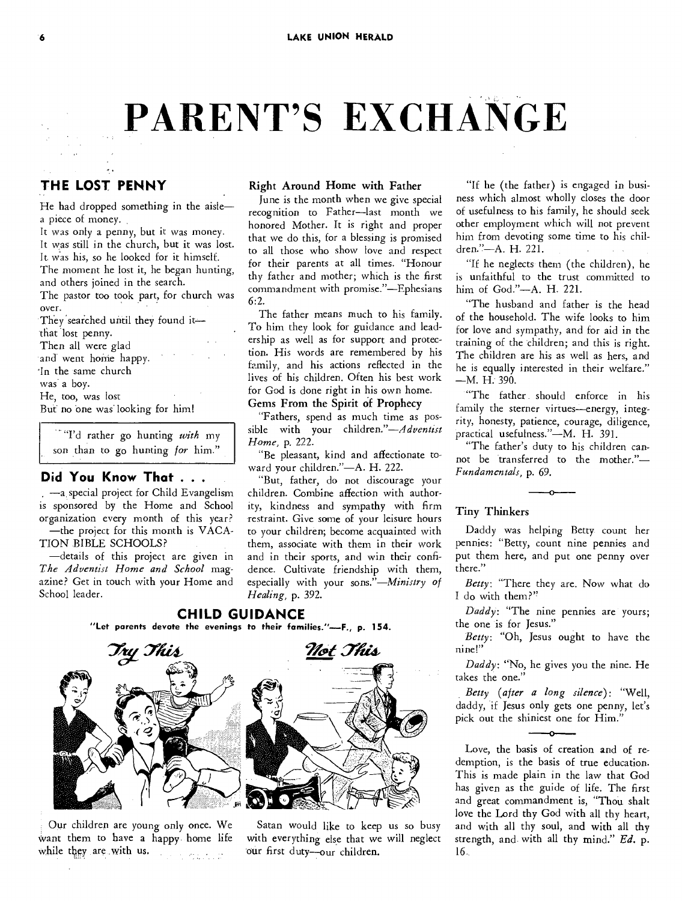# **PARENT'S EXCHANGE**

### **THE LOST PENNY**

He had dropped something in the aisle a piece of money.

It was only a penny, but it was money. It was still in the church, but it was lost. It was his, so he looked for it himself. The moment he lost it, he began hunting,

and others joined in the search. The pastor too took part, for church was

over. They searched until they found it-

that lost penny.

Then all were glad

and went home happy.

In the same church

was a boy.

He, too, was lost

But no one was' looking for him!

"I'd rather go hunting *with* my son than to go hunting *for* him."

#### **Did You Know That . . .**

—a, special project for Child Evangelism is sponsored by the Home and School organization every month of this year? —the project for this month is VACA-TION BIBLE SCHOOLS?

—details of this project are given in *The Adventist Home and School* magazine? Get in touch with your Home and School leader.

#### Right Around Home with Father

June is the month when we give special recognition to Father—last month we honored Mother. It is right and proper that we do this, for a blessing is promised to all those who show love and respect for their parents at all times. "Honour thy father and mother; which is the first commandment with promise."—Ephesians 6:2.

The father means much to his family. To him they look for guidance and leadership as well as for support and protection. His words are remembered by his family, and his actions reflected in the lives of his children. Often his best work for God is done right in his own home.

#### Gems From the Spirit of Prophecy

"Fathers, spend as much time as possible with your *children."—Adventist Home,* p. 222.

"Be pleasant, kind and affectionate toward your children."—A. H. 222.

"But, father, do not discourage your children. Combine affection with authority, kindness and sympathy with firm restraint. Give some of your leisure hours to your children; become acquainted with them, associate with them in their work and in their sports, and win their confidence. Cultivate friendship with them, especially with your *sons."—Ministry of Healing,* p. 392.

#### **CHILD GUIDANCE**

**"Let parents devote the evenings to their families."—F., p. 154.** 



Our children are young only once. We want them to have a happy home life while they are with us.



Satan would like to keep us so busy with everything else that we will neglect our first duty—our children.

"If he (the father) is engaged in business which almost wholly closes the door of usefulness to his family, he should seek other employment which will not prevent him from devoting some time to his children."—A. H. 221.

"If he neglects them (the children), he is unfaithful to the trust committed to him of God."—A. H. 221.

"The husband and father is the head of the household. The wife looks to him for love and sympathy, and for aid in the training of the children; and this is right. The children are his as well as hers, and he is equally interested in their welfare."  $-M. H. 390.$ 

"The father should enforce in his family the sterner virtues—energy, integrity, honesty, patience, courage, diligence, practical usefulness."—M. H. 391.

"The father's duty to his children cannot be transferred to the mother."— *Fundamentals,* p. 69.

#### Tiny Thinkers

Daddy was helping Betty count her pennies: "Betty, count nine pennies and put them here, and put one penny over there."

*Betty:* "There they are. Now what do I do with them?"

*Daddy:* "The nine pennies are yours; the one is for Jesus."

*Betty:* "Oh, Jesus ought to have the nine!"

*Daddy:* "No, he gives you the nine. He takes the one."

*Betty (after a long silence):* "Well, daddy, if Jesus only gets one penny, let's *Betty (after a long silence)*: "<br>daddy, if Jesus only gets one penny,<br>pick out the shiniest one for Him."

Love, the basis of creation and of redemption, is the basis of true education. This is made plain in the law that God has given as the guide of life. The first and great commandment is, "Thou shalt love the Lord thy God with all thy heart, and with all thy soul, and with all thy strength, and with all thy mind." *Ed.* p. 16..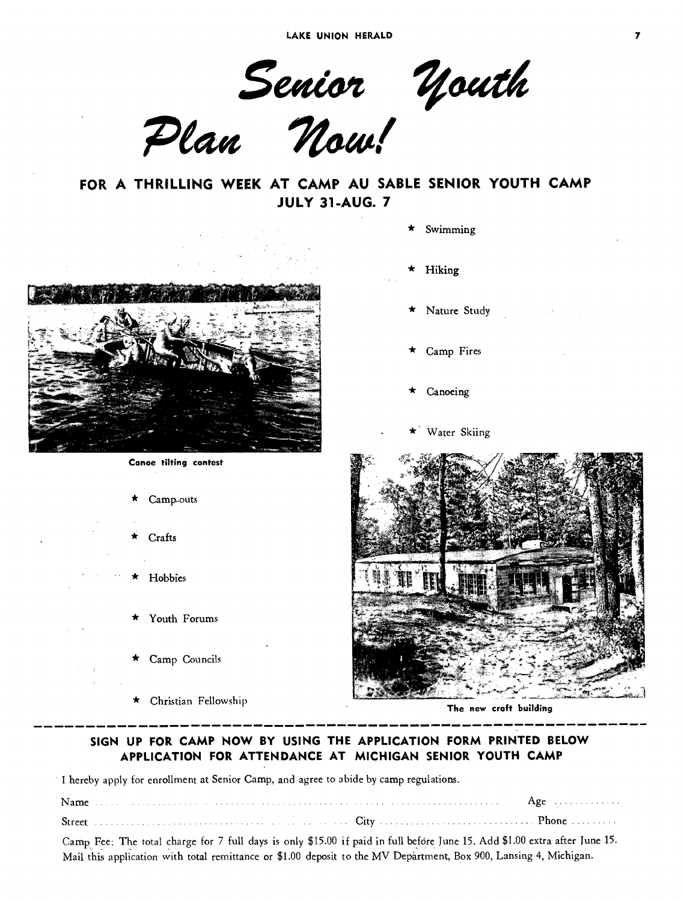LAKE UNION HERALD 7

Senior Youth

Plan Now!

**FOR A THRILLING WEEK AT CAMP AU SABLE SENIOR YOUTH CAMP JULY 31-AUG. 7** 



**Canoe tilting contest** 

Camp-outs

Crafts

**Hobbies** 

Youth Forums

\* Camp Councils

Christian Fellowship

Swimming

\* Hiking

Nature Study

- Camp Fires
- **Canoeing**

Water Skiing



**The new craft building** 

#### **SIGN UP FOR CAMP NOW BY USING THE APPLICATION FORM PRINTED BELOW APPLICATION FOR ATTENDANCE AT MICHIGAN SENIOR YOUTH CAMP**

I hereby apply for enrollment at Senior Camp, and agree to abide by camp regulations.

Camp Fee: The total charge for 7 full days is only \$15.00 if paid in full before June 15. Add \$1.00 extra after June 15. Mail this application with total remittance or \$1.00 deposit to the MV Department, Box 900, Lansing 4, Michigan.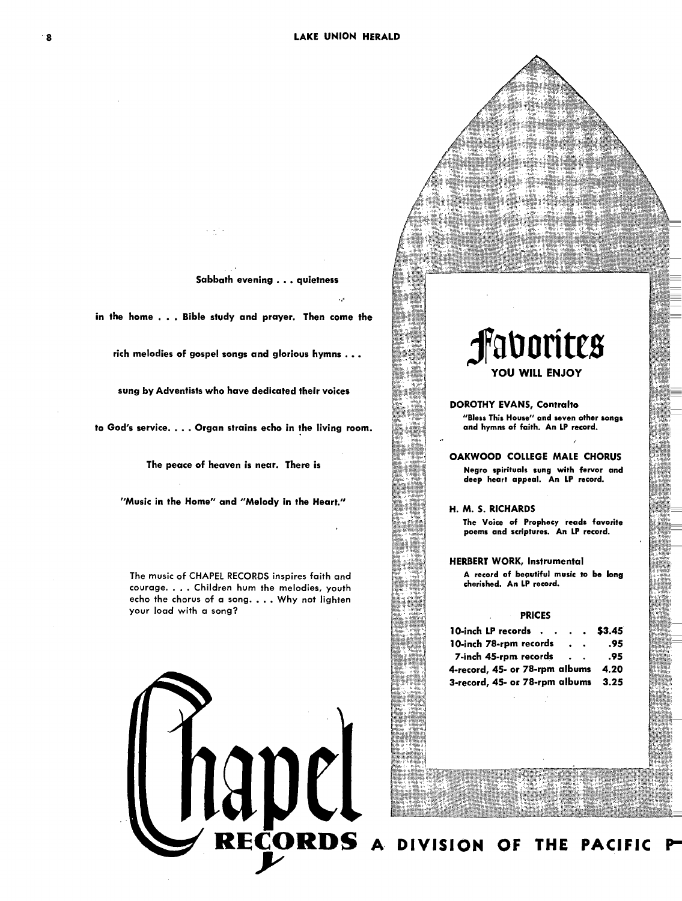**Sabbath evening . .. quietness** 

**in the home . . . Bible study and prayer. Then come the** 

**rich melodies of gospel songs and glorious hymns .** 

**sung by Adventists who have dedicated their voices** 

**to God's service. . . . Organ strains echo in the living room.** 

**The peace of heaven is near. There is** 

**"Music in the Home" and "Melody in the Heart."** 

**The music of CHAPEL RECORDS inspires faith and courage. . . . Children hum the melodies, youth echo the chorus of a song. . .. Why not lighten your load with a song?** 



## **fallorites YOU WILL ENJOY**

**DOROTHY EVANS, Contralto "Bless This House" and seven other songs and hymns of faith. An LP record.** 

**OAKWOOD COLLEGE MALE CHORUS Negro spirituals sung with fervor and deep heart appeal. An LP record.** 

**H. M. S. RICHARDS The Voice of Prophecy reads favorite poems and scriptures. An LP record.** 

**HERBERT WORK, Instrumental A record of beautiful music to be long cherished. An LP record.** 

#### **PRICES**

| 10-inch LP records $\cdot \cdot \cdot \cdot$ \$3.45 |               |     |
|-----------------------------------------------------|---------------|-----|
| 10-inch 78-rpm records                              | $\sim$ $\sim$ | .95 |
| 7-inch 45-rpm records                               |               | .95 |
| 4-record, 45- or 78-rpm albums 4.20                 |               |     |
| 3-record, 45- or 78-rpm albums 3.25                 |               |     |

**DIVISION OF THE PACIFIC**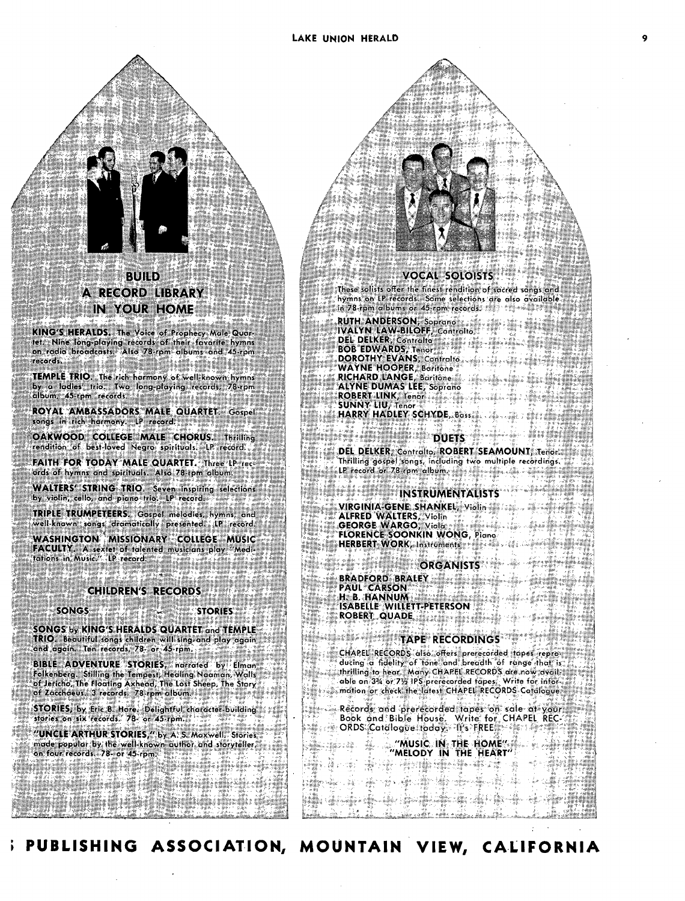

IN YOUR HOME

**KING'S HERALDS.** The Voice of Prophecy Male Quar-tet. Nine long-playing records of their favorite hymns on radio broadcasts. Also 78-rpm albums and .45:rpm records. **TEMPLE TRIO.** The rich harmony of well known hymns<br>by a ladies' trio. Two long-playing records, 78-rpm album, 45-rpm records.

**ROYAL AMBASSADORS MALE QUARTET.** Gospel songs in rich harmony. LP record.

**OAKWOOD COLLEGE MALE CHORUS. Thrilling** rendition of best-loved Negro spirituals. LP record. **FAITH FOR TODAY MALE QUARTET.** Three LP records of hymns and spirituals. Also 78-rpm album. **WALTERS' STRING TRIO.** Seven inspiring selections by violin, cello, and piano trio. LP record.

**TRIPLE TRUMPETEERS.** Gospel melodies, hymns, and well-known songs dramatically presented. LP record. **WASHINGTON MISSIONARY COLLEGE MUSIC FACULTY.** A sextet of talented musicians play "Medi- 'lotions in Music." LP record.

#### **CHILDREN'S RECORDS**

SONGS **STORIES** 

**SONGS** by **KING'S HERALDS QUARTET** and **TEMPLE TRIO.** Beautiful songs children will sing-and play again and again. Ten records, 78- or 45-rpm.

**BIBLE ADVENTURE STORIES,** narrated by Elman Folkenberg. Stilling the Tempest, Healing Naaman, Walls of Jericho, The Floating Axhead, The Lost Sheep, The Story of Zacchaeus. 3 records. 78-rpm album.

**STORIES, by** Eric B. Hare. Delightful character-building stories on six records. 78- or 45-rpm.

**"UNCLE ARTHUR STORIES,"** by A. S. Maxwell. ° Storiek' made popular by the well-known author and storyteller, on four records. 78- or 45-rpm.

#### **VOCAL SOLOISTS'**

These solists offer the finest rendition of sacred sangs and hymns on LP records. Some selections are also available<br>in 78-rpm albums or 45-rpm records.

**RUTH ANDERSON, Soprano IVALYN LAW-BILOFF, Contralto DEL DELKER,** Contralto

**BOB EDWARDS,** Tenor **DOROTHY EVANS, Controlto,** 

**WAYNE HOOFER,** Baritene **RICHARD LANGE,** Baritone

**ALYNE DUMAS LEE**, Soprano

**ROBERT LINK, Tench . ...** 

**SUNNY LIU, Teno HARRY HADLEY SCHYDE,** Bass

#### **DUETS**

**,DEL DELKER; Coor It ROBERT SEAMOUNT,** Tenor: Thrilling **gospel:song,** including two multiple recordings.  $\sim$  LP record or 78-rpm album.  $\sim$ 

#### **INSTRUMENTALISTS**

**VIRGINIA-GENE SHANKEL, Violin s** 

**ALFRED WALTERS, Violin -** 

**GEORGE WARGO, Viola,** 

**FLORENCE SOONKIN WONG,** Piano **HERBERT WORK, Instruments to** 

#### **ORGANISTS**

**BRADFORD BRALEY PAUL CARSON H, B HANNUM ISABELLE WILLETT-PETERSON**<br>ROBERT QUADE

#### **TAPE RECORDINGS**

**CHAPEC , RECGRp5'ati6:,:afteis:Prnecoided lapeireprg, ducing a fidelity- of Idnelond.,,breath Of ronge' that' is:**  .\_,**;,thrilling -to hear.: Many** CHAFfo RECORDS are.now able on 3<sup>3</sup>/<sub>2</sub> or 71/2 IPS prerecorded tapes. Write for inform**otion or check° the-latest** CHAPEL 'RECORDS CatajogUe:

Records and prerecorded tapes on sale at your **Book and Bible HOuse. Write for" CHAPEL. R ORDS,Catcilogile todOi. -It's FREE''' .-`** 

**"MUSIC IN THE HOME"4,r "MELODY IN THE HEART" ,** 

**PUBLISHING ASSOCIATION, MOUNTAIN VIEW, CALIFORNIA**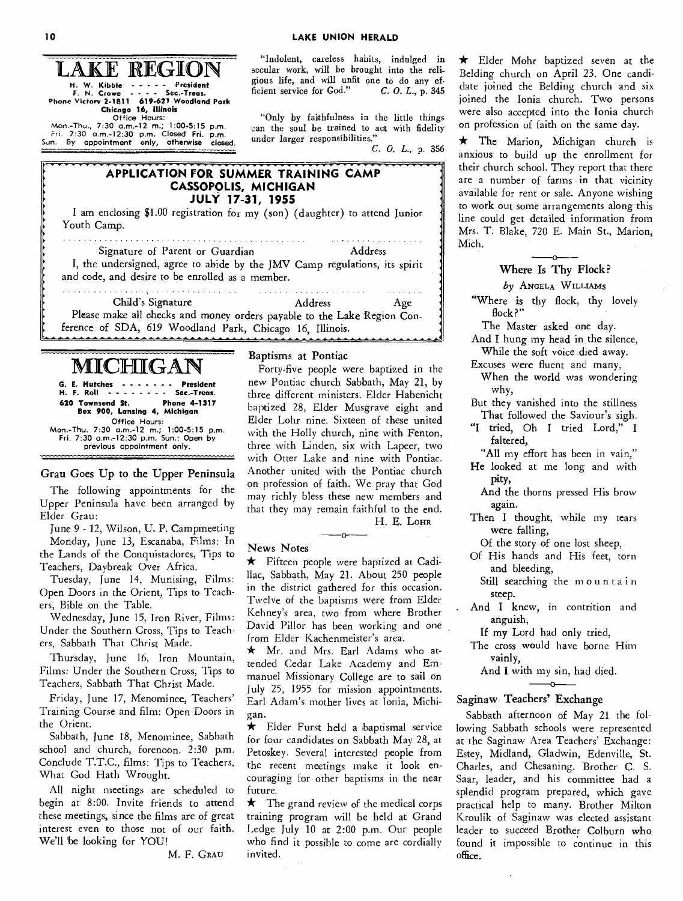AKE REGION **H. W. Kibble President F. N. Crowe - - - Sec.-Treas. Phone Victory 2-1811 619-621 Woodland Park Chicago 16, Illinois Office Hours:**  Mon.-Thu., **7:30 a.m.-12 m.; 1:00-5:15 p.m.**  *Fri.* **7:30 a.m.-12:30 p.m. Closed Fri. p.m. Sun. By appointment only,** otherwise closed.

"Indolent, careless habits, indulged in secular work, will be brought into the religious life, and will unfit one to do any ef-<br>ficient service for God." C.O.L., p. 345 ficient service for God."

"Only by faithfulness in the little things can the soul be trained to act with fidelity under larger responsibilities."

*C. 0. L.,* p. 356

#### **APPLICATION FOR SUMMER TRAINING CAMP CASSOPOLIS, MICHIGAN JULY 17-31, 1955 I am enclosing \$1.00 registration for my (son) (daughter) to attend Junior Youth Camp. Signature of Parent or Guardian Address I, the undersigned, agree to abide by the JMV Camp regulations, its spirit and code, and desire to be enrolled as a member.**

. . . . . . . . . . . . . **Child's Signature** Address Age **Please make all checks and money orders payable to the Lake Region Conference - - ---- of SDA, 619 Woodland Park, Chicago 16, Illinois.** 

## MICFIIGAN

**G. E. Hutches - - - - - - President**<br>H. F. Roll - - - - - - - Sec.-Treas. **H. F. Roll - - - - - - - Sec.-Treas.**<br>**620 Townsend St. Phone 4-1317 620 Townsend St. Box 900, Lansing4, Michigan Office Hours: Mon: Thu. 7:30 a.m.-12 m.; 1:00-5:15 p.m. Fri. 7:30 a.m.-12:30 p.m. Sun.: Open by previous appointment only.** 

#### Grau Goes Up to the Upper Peninsula

The following appointments for the Upper Peninsula have been arranged by Elder Grau:

June 9 - 12, Wilson, U. P. Campmeeting

Monday, June 13, Escanaba, Films: In the Lands of the Conquistadores, Tips to Teachers, Daybreak Over Africa.

Tuesday, June 14, Munising, Films: Open Doors in the Orient, Tips to Teachers, Bible on the Table.

Wednesday, June 15, Iron River, Films: Under the Southern Cross, Tips to Teachers, Sabbath That Christ Made.

Thursday, June 16, Iron Mountain, Films: Under the Southern Cross, Tips to Teachers, Sabbath That Christ Made.

Friday, June 17, Menominee, Teachers' Training Course and film: Open Doors in the Orient.

Sabbath, June 18, Menominee, Sabbath school and church, forenoon. 2:30 p.m. Conclude T.T.C., films: Tips to Teachers, What God **Hath Wrought.** 

**All night meetings are scheduled to begin at 8:00. Invite friends to attend these meetings, since the films are of great interest even to those not of our faith. We'll be looking for YOU!** 

**M. F. GRAtJ** 

Baptisms at Pontiac

Forty-five people were baptized in the new Pontiac church Sabbath, May 21, by three different ministers. Elder Habenicht baptized 28, Elder Musgrave eight and Elder Lohr nine. Sixteen of these united with the Holly church, nine with Fenton, three with Linden, six with Lapeer, two with Otter Lake and nine with Pontiac. Another united **with** the Pontiac church on profession of faith. We pray that God may richly bless these new members and that they may remain faithful to the end. H. E. **LOHR** 

#### **News Notes**

**\* Fifteen** people were baptized at Cadillac, Sabbath, May 21. About 250 people in the district gathered for this occasion. Twelve of the baptisms were from Elder Kehney's area, two from where Brother David Pillor has been working and one from Elder Kachenmeister's area.

o

\* Mr. and Mrs. Earl Adams who attended Cedar Lake Academy and Emmanuel Missionary College are to **sail on July 25, 1955 for mission appointments.**  Earl Adam's mother lives at Ionia, Michigan.

\* Elder Furst held a baptismal service for four candidates on Sabbath May 28, at Petoskey. Several interested people from the recent meetings make it look encouraging for other baptisms in **the near future.** 

 $\star$  The grand review of the medical corps training program will be held at Grand Ledge July 10 at 2:00 p.m. Our people who find it possible to come are cordially invited.

\* Elder Mohr baptized seven at the Belding church on April 23. One candidate joined the Belding church and six joined the Ionia church. Two persons were also accepted into the Ionia church on profession of faith on the same day.

**\* The Marion, Michigan church is anxious to build up the enrollment for their church school. They** report that there are a number of farms in that vicinity available for rent or sale. Anyone wishing to work out some arrangements along this line could get detailed information from Mrs. T. Blake, 720 E. Main St., Marion, Mich.

#### Where Is Thy Flock?

*by* ANGELA WILLIAMS

**"Where** is **thy flock, thy lovely flock?"** 

**The Master asked one day.** 

**And** I **hung my head in the silence, While the soft voice died away.** 

**Excuses were fluent and many,** 

**When the world was wondering why,** 

**But they vanished into the stillness That followed the Saviour's sigh.** 

"I **tried, Oh I tried Lord," I faltered,** 

**"All my effort has been** in **vain,"** 

**He looked at me long and with pity,** 

**And the thorns pressed His brow again.** 

**Then** I **thought, while my tears were falling,** 

**Of the story of one lost sheep,** 

**Of His hands and His feet,** torn and bleeding,

**Still searching the mountain steep.** 

**And** I **knew, in contrition** and **anguish,** 

If **my Lord had only tried,** 

**The cross would have borne Him vainly,** 

**And** I **with my sin, had died.** 

#### Saginaw Teachers' Exchange

**Sabbath afternoon of May 21 the following Sabbath schools were represented at the Saginaw Area Teachers' Exchange: Estey, Midland, Gladwin, Edenville, St. Charles, and Chesaning. Brother C. S. Saar, leader, and his committee had** a splendid **program prepared, which** gave practical help to many. Brother Milton Kroulik of Saginaw **was elected assistant**  leader to succeed Brother Colburn who found it impossible to continue in this **office.**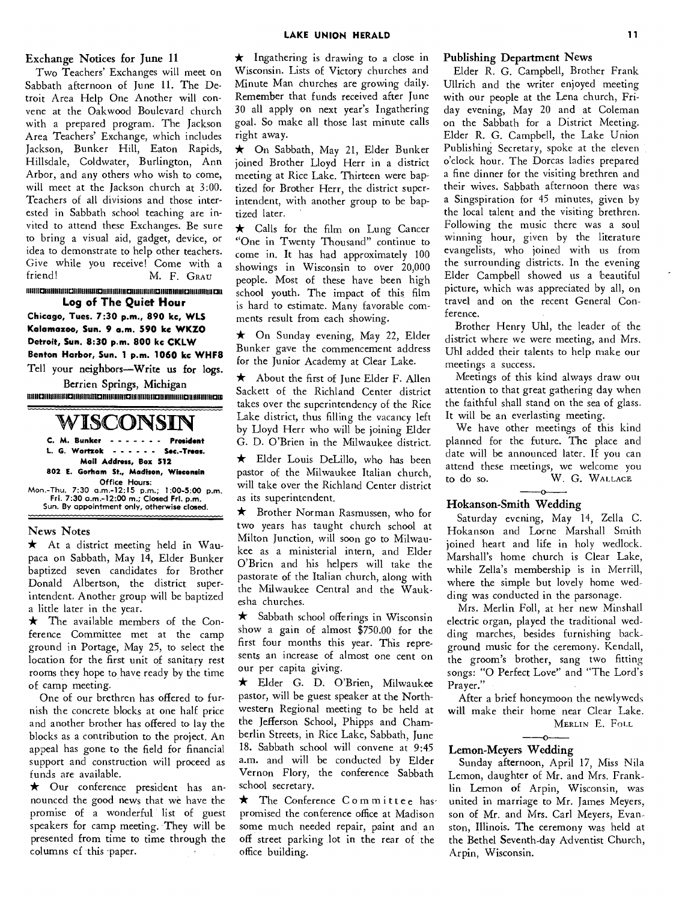#### Exchange Notices for June 11

Two Teachers' Exchanges will meet on Sabbath afternoon of June 11. The Detroit Area Help One Another will convene at the Oakwood Boulevard church with a prepared program. The Jackson Area Teachers' Exchange, which includes Jackson, Bunker Hill, Eaton Rapids, Hillsdale, Coldwater, Burlington, Ann Arbor, and any others who wish to come, will meet at the Jackson church at 3:00. Teachers of all divisions and those interested in Sabbath school teaching are invited to attend these Exchanges. Be sure to bring a visual aid, gadget, device, or idea to demonstrate to help other teachers. Give while you receive! Come with a friend! M. F. GRAU

#### **1111111C1111111111111131111111M111211111M111112111111111111131M011111101111111111111311 Log of The Quiet Hour**

**Chicago, Tues. 7:30 p.m., 890 kc, WLS Kalamazoo, Sun. 9 a.m. 590 kc WKZO Detroit, Sun. 8:30 p.m. 800 kc CKLW Benton Harbor, Sun. 1 p.m. 1060 kc WHFB**  Tell your neighbors—Write us for logs.

Berrien Springs, Michigan **111118211111111111113111111111=1111111111111121111M1111112111111111111011111118111128** 

### WISCONSIN

**C. M. Bunker - - - - - - - President** L. G. Wartzok - - - - - - Sec.-Treas. **Mail Address, Box 512 802 E. Gorham St., Madison, Wisconsin Office Hours:**  Mon.-Thu. 7:30 a.m.-12:15 p.m.; **1:00-5:00 p.m. Fri. 7:30 a.m.-12:00 m.; Closed Fri. p.m.**  Sun. By appointment only, **otherwise closed.** 

#### News Notes

\* At a district meeting held in Waupaca on Sabbath, May 14, Elder Bunker baptized seven candidates for Brother Donald Albertson, the district superintendent. Another group will be baptized a little later in the year.

 $\star$  The available members of the Conference Committee met at the camp ground in Portage, May 25, to select the location for the first unit of sanitary rest rooms they hope to have ready by the time of camp meeting.

One of our brethren has offered to furnish the concrete blocks at one half price and another brother has offered to lay the blocks as a contribution to the project. An appeal has gone to the field for financial support and construction will proceed as funds are available.

\* Our conference president has announced the good news that we have the promise of a wonderful list of guest speakers for camp meeting. They will be presented from time to time through the columns of this paper.

 $\star$  Ingathering is drawing to a close in Wisconsin. Lists of Victory churches and Minute Man churches are growing daily. Remember that funds received after June 30 all apply on next year's Ingathering goal. So make all those last minute calls right away.

\* On Sabbath, May 21, Elder Bunker joined Brother Lloyd Herr in a district meeting at Rice Lake. Thirteen were baptized for Brother Herr, the district superintendent, with another group to be baptized later.

\* Calls for the film on Lung Cancer "One in Twenty Thousand" continue to come in. It has had approximately 100 showings in Wisconsin to over 20,000 people. Most of these have been high school youth. The impact of this film is hard to estimate. Many favorable comments result from each showing.

\* On Sunday evening, May 22, Elder Bunker gave the commencement address for the Junior Academy at Clear Lake.

 $\star$  About the first of June Elder F. Allen Sackett of the Richland Center district takes over the superintendency of the Rice Lake district, thus filling the vacancy left by Lloyd Herr who will be joining Elder G. D. O'Brien in the Milwaukee district.

\* Elder Louis DeLillo, who has been pastor of the Milwaukee Italian church, will take over the Richland Center district as its superintendent.

\* Brother Norman Rasmussen, who for two years has taught church school at Milton Junction, will soon go to Milwaukee as a ministerial intern, and Elder O'Brien and his helpers will take the pastorate of the Italian church, along with the Milwaukee Central and the Waukesha churches.

 $\star$  Sabbath school offerings in Wisconsin show a gain of almost \$750.00 for the first four months this year. This represents an increase of almost one cent on our per capita giving.

\* Elder G. D. O'Brien, Milwaukee pastor, will be guest speaker at the Northwestern Regional meeting to be held at the Jefferson School, Phipps and Chamberlin Streets, in Rice Lake, Sabbath, June 18. Sabbath school will convene at 9:45 a.m. and will be conducted by Elder Vernon Flory, the conference Sabbath school secretary.

\* The Conference Committee has<sup>-</sup> promised the conference office at Madison some much needed repair, paint and an off street parking lot in the rear of the office building.

#### Publishing Department News

Elder R. G. Campbell, Brother Frank Ullrich and the writer enjoyed meeting with our people at the Lena church, Friday evening, May 20 and at Coleman on the Sabbath for a District Meeting. Elder R. G. Campbell, the Lake Union Publishing Secretary, spoke at the eleven o'clock hour. The Dorcas ladies prepared a fine dinner for the visiting brethren and their wives. Sabbath afternoon there was a Singspiration for 45 minutes, given by the local talent and the visiting brethren. Following the music there was a soul winning hour, given by the literature evangelists, who joined with us from the surrounding districts. In the evening Elder Campbell showed us a beautiful picture, which was appreciated by all, on travel and on the recent General Conference.

Brother Henry Uhl, the leader of the district where we were meeting, and Mrs. Uhl added their talents to help make our meetings a success.

Meetings of this kind always draw out attention to that great gathering day when the faithful shall stand on the sea of glass. It will be an everlasting meeting.

We have other meetings of this kind planned for the future. The place and date will be announced later. If you can attend these meetings, we welcome you to do so. W. G. WALLACE

#### Hokanson-Smith Wedding

Saturday evening, May 14, Zella C. Hokanson and Lorne Marshall Smith joined heart and life in holy wedlock. Marshall's home church is Clear Lake, while Zella's membership is in Merrill, where the simple but lovely home wedding was conducted in the parsonage.

Mrs. Merlin Foll, at her new Minshall electric organ, played the traditional wedding marches, besides furnishing background music for the ceremony. Kendall, the groom's brother, sang two fitting songs: "0 Perfect Love" and "The Lord's Prayer."

After a brief honeymoon the newlyweds will make their home near Clear Lake. MERLIN E. FOLL

#### Lemon-Meyers Wedding

Sunday afternoon, April 17, Miss Nila Lemon, daughter of Mr. and Mrs. Franklin Lemon of Arpin, Wisconsin, was united in marriage to Mr. James Meyers, son of Mr. and Mrs. Carl Meyers, Evanston, Illinois. The ceremony was held at the Bethel Seventh-day Adventist Church, Arpin, Wisconsin.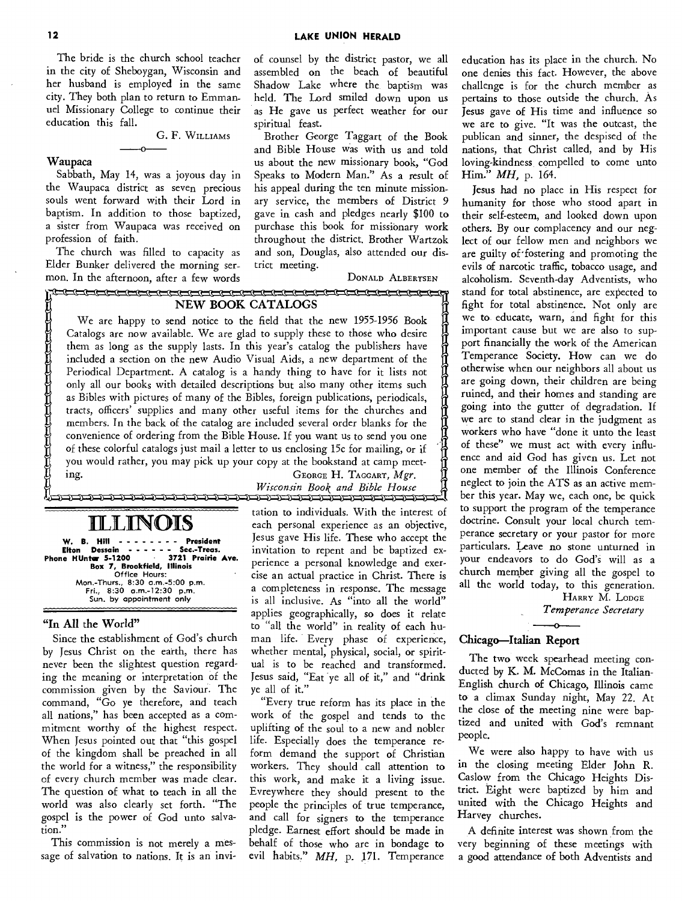The bride is the church school teacher in the city of Sheboygan, Wisconsin and her husband is employed in the same city. They both plan to return to Emmanuel Missionary College to continue their education this fall.

G. F. WILLIAMS

#### **Waupaca**

Sabbath, May 14, was a joyous day in the Waupaca district as seven precious souls went forward with their Lord in baptism. In addition to those baptized, a sister from Waupaca was received on profession of faith.

۰O

The church was filled to capacity as Elder Bunker delivered the morning sermon. In the afternoon, after a few words of counsel by the district pastor, we all assembled on the beach of beautiful Shadow Lake where the baptism was held. The Lord smiled down upon us as He gave us perfect weather for our spiritual feast.

Brother George Taggart of the Book and Bible House was with us and told us about the new missionary book, "God Speaks to Modern Man." As a result of his appeal during the ten minute missionary service, the members of District 9 gave in cash and pledges nearly \$100 to purchase this book for missionary work throughout the district. Brother Wartzok and son, Douglas, also attended our district meeting.

DONALD ALBERTSEN

#### <u>perantahan pada tahun pada tahun 1947. Bagi di persetaan pada tahun pada tahun terbagai pada tahun 1947. Bagi di pertama dan terbagai pada tahun 1947. Bagi di pertama di pertama di pertama di pertama di pertama di pertama</u> **NEW BOOK CATALOGS**

We are happy to send notice to the field that the new 1955-1956 Book Catalogs are now available. We are glad to supply these to those who desire them as long as the supply lasts. In this year's catalog the publishers have included a section on the new Audio Visual Aids, a new department of the Periodical Department. A catalog is a handy thing to have for it lists not only all our books with detailed descriptions but also many other items such as Bibles with pictures of many of the Bibles, foreign publications, periodicals, tracts, officers' supplies and many other useful items for the churches and members. In the back of the catalog are included several order blanks for the convenience of ordering from the Bible House. If you want us to send you one of these colorful catalogs just mail a letter to us enclosing 15c for mailing, or if you would rather, you may pick up your copy at the bookstand at camp meet-I<br>I independent<br>I on as Let the set of the set of the set of the set of the set of the set of the set of the set of the set of the set<br>In the set of the set of the set of the set of the set of the set of the set of the set of the set of the set o 1<br>1<br>1<br>1

## **ILLINOIS**<br>UILLINOIS

**W. B. Hill .**<br>Elton Dessain **Elton Sec.-Treas.**<br>19721 Prai<del>rie</del> Ave. **Phone HUnter 5-1200 Box 7, Brookfield, Illinois**  Office **Hours:**  Mon.-Thurs., 8:30 a.m.-5:00 p.m. Fri., 8:30 a.m.-12:30 p.m. Sun. by appointment only

#### **"In All the World"**

Since the establishment of God's church by Jesus Christ on the earth, there has never been the slightest question regarding the meaning or interpretation of the commission given by the Saviour. The command, "Go ye therefore, and teach all nations," has been accepted as a commitment worthy of the highest respect. When Jesus pointed out that "this gospel of the kingdom shall be preached in all the world for a witness," the responsibility of every church member was made clear. The question of what to teach in all the world was also clearly set forth. "The gospel is the power of God unto salvation.

This commission is not merely a message of salvation to nations. It is an invi-

ing. GEORGE H. TAGGART, *Mgr. Wisconsin Book and Bible House*  <u>) והתכונה והוכלה והוכולה והוכלה ומוכן והוכלה והוכלה והוכלה והוכלה והוכלה והוכלה והוכלה והוכלה והוכלה והוכלה ו</u>

> tation to individuals. With the interest of each personal experience as an objective, Jesus gave His life. These who accept the invitation to repent and be baptized experience a personal knowledge and exercise an actual practice in Christ. There is a completeness in response. The message is all inclusive. As "into all the world" applies geographically, so does it relate to "all the world" in reality of each human life. Every phase of experience, whether mental, physical, social, or spiritual is to be reached and transformed. Jesus said, "Eat ye all of it," and "drink ye all of it."

> "Every true reform has its place in the work of the gospel and tends to the uplifting of the soul to a new and nobler life. Especially does the temperance reform demand the support of Christian workers. They should call attention to this work, and make it a living issue. Evreywhere they should present to the people the principles of true temperance, and call for signers to the temperance pledge. Earnest effort should be made in behalf of those who are in bondage to evil habits." MH, p. 171. Temperance

education has its place in the church. No one denies this fact. However, the above challenge is for the church member as pertains to those outside the church. As Jesus gave of His time and influence so we are to give. "It was the outcast, the publican and sinner, the despised of the nations, that Christ called, and by His loving-kindness, compelled to come unto Him." MH, p. 164.

Jesus had no place in His respect for humanity for those who stood apart in their self-esteem, and looked down upon others. By our complacency and our neglect of our fellow men and neighbors we are guilty of fostering and promoting the evils of narcotic traffic, tobacco usage, and alcoholism. Seventh-day Adventists, who stand for total abstinence, are expected to fight for total abstinence. Not only are we to educate, warn, and fight for this important cause but we are also to support financially the work of the American Temperance Society. How can we do otherwise when our neighbors all about us are going down, their children are being ruined, and their homes and standing are going into the gutter of degradation. If we are to stand clear in the judgment as workers who have "done it unto the least of these" we must act with every influence and aid God has given us. Let not one member of the Illinois Conference neglect to join the ATS as an active member this year. May we, each one, be quick to support the program of the temperance doctrine. Consult your local church temperance secretary or your pastor for more particulars. Leave no stone unturned in your endeavors to do God's will as a church member giving all the gospel to all the world today, to this generation.

HARRY M. LODGE *Temperance Secretary* 

#### **Chicago—Italian Report**

The two week spearhead meeting conducted by K. M. McComas in the Italian-English church of Chicago, Illinois came to a climax Sunday night, May 22. At the close of the meeting nine were baptized and united with God's remnant people.

We were also happy to have with us in the closing meeting Elder John R. Caslow from the Chicago Heights District. Eight were baptized by him and united with the Chicago Heights and Harvey churches.

A definite interest was shown from the very beginning of these meetings with a good attendance of both Adventists and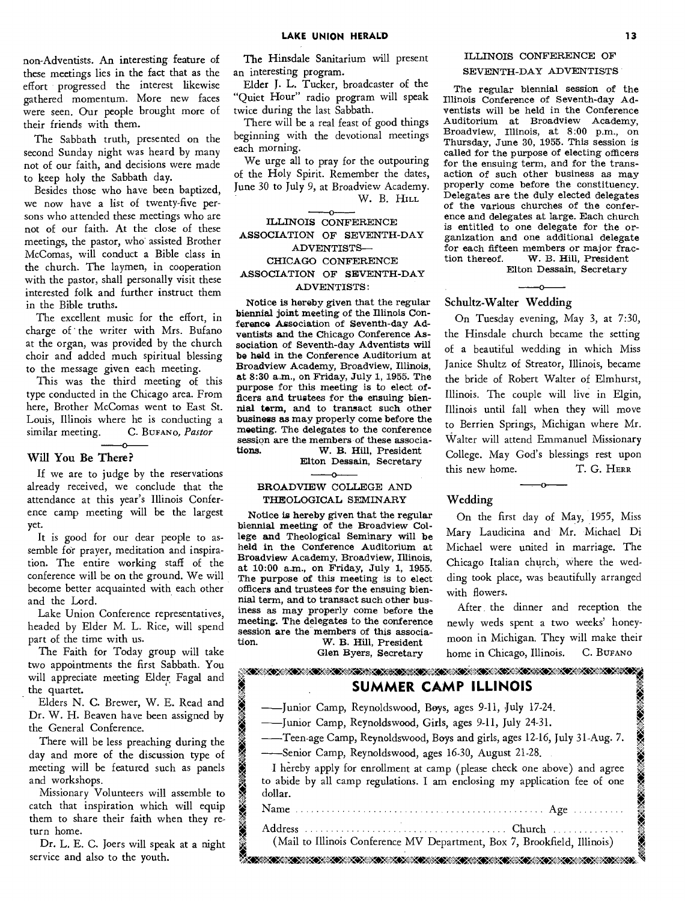non-Adventists. An interesting feature of these meetings lies in the fact that as the effort progressed the interest likewise gathered momentum. More new faces were seen. Our people brought more of their friends with them.

The Sabbath truth, presented on the second Sunday night was heard by many not of our faith, and decisions were made to keep holy the Sabbath day.

Besides those who have been baptized, we now have a list of twenty-five persons who attended these meetings who are not of our faith. At the close of these meetings, the pastor, who assisted Brother McComas, will conduct a Bible class in the church. The laymen, in cooperation with the pastor, shall personally visit these interested folk and further instruct them in the Bible truths.

The excellent music for the effort, in charge of ' the writer with Mrs. Bufano at the organ, was provided by the church choir and added much spiritual blessing to the message given each meeting.

This was the third meeting of this type conducted in the Chicago area. From here, Brother McComas went to East St. Louis, Illinois where he is conducting a similar meeting. C. BUFANO, Pastor C. BUFANO, Pastor

#### **Will You Be There?**

If we are to judge by the reservations already received, we conclude that the attendance at this year's Illinois Conference camp meeting will be the largest yet.

It is good for our dear people to assemble for prayer, meditation and inspiration. The entire working staff of the conference will be on the ground. We will become better acquainted with each other and the Lord.

Lake Union Conference representatives, headed by Elder M. **L.** Rice, will spend part of the time with us.

The Faith for Today group will take two appointments the first Sabbath. You will appreciate meeting Elder Fagal and the quartet.

Elders N. C. Brewer, W. E. Read and Dr. W. H. Beaven have been assigned by the General Conference.

There will be less preaching during the day and more of the discussion type of meeting will be featured such as panels and workshops.

Missionary Volunteers will assemble to catch that inspiration which will equip them to share their faith when they return home.

Dr. L. E. C. Joers will speak at a night service and also to the youth.

The Hinsdale Sanitarium will present an interesting program.

Elder J. L. Tucker, broadcaster of the "Quiet Hour" radio program will speak twice during the last Sabbath.

There will be a real feast of good things beginning with the devotional meetings each morning.

We urge all to pray for the outpouring of the Holy Spirit. Remember the dates, June 30 to July 9, at Broadview Academy. W. B. HILL

#### ILLINOIS CONFERENCE ASSOCIATION OF SEVENTH-DAY ADVENTISTS— CHICAGO CONFERENCE ASSOCIATION OF SEVENTH-DAY ADVENTISTS:

Notice is hereby given that the regular biennial joint meeting of the Illinois Conference Association of Seventh-day Adventists and the Chicago Conference Association of Seventh-day Adventists will be held in the Conference Auditorium at Broadview Academy, Broadview, Illinois, at 8:30 a.m., on Friday, July 1, 1955. The purpose for this meeting is to elect officers and trustees for the ensuing biennial term, and to transact such other business as may properly come before the meeting. The delegates to the conference session are the members of these associa-<br>tions. W. B. Hill. President. W. B. Hill, President

Elton Dessain, Secretary

#### $\sim$ BROADVIEW COLLEGE AND THEOLOGICAL SEMINARY

Notice is hereby given that the regular biennial meeting of the Broadview College and Theological Seminary will be held in the Conference Auditorium at Broadview Academy, Broadview, Illinois, at 10:00 a.m., on Friday, July 1, 1955. The purpose of this meeting is to elect officers and trustees for the ensuing biennial term, and to transact such other business as may properly come before the meeting. *The* delegates to the conference session are the members of this associa-<br>tion. W. B. Hill. President. W. B. Hill, President

Glen Byers, Secretary

#### ILLINOIS CONFERENCE OF SEVENTH-DAY ADVENTISTS

The regular biennial session of the Illinois Conference of Seventh-day Adventists will be held in the Conference Auditorium at Broadview Academy, Broadview, Illinois, at 8:00 p.m., on Thursday, June 30, 1955. This session is called for the purpose of electing officers for the ensuing term, and for the transaction of such other business as may properly come before the constituency. Delegates are the duly elected delegates of the various churches of the conference and delegates at large. Each church is entitled to one delegate for the organization and one additional delegate for each fifteen members or major frac-<br>tion thereof. W. B. Hill, President W. B. Hill, President

Elton Dessain, Secretary

#### **Schultz-Walter Wedding**

On Tuesday evening, May 3, at 7:30, the Hinsdale church became the setting of a beautiful wedding in which Miss Janice Shultz of Streator, Illinois, became the bride of Robert Walter of Elmhurst, Illinois. The couple will live in Elgin, Illinois until fall when they will move to Berrien Springs, Michigan where Mr. Walter will attend Emmanuel Missionary College. May God's blessings rest upon this new home. T. G. HERR

#### **Wedding**

On the first day of May, 1955, Miss Mary Laudicina and Mr. Michael Di Michael were united in marriage. The Chicago Italian church, where the wedding took place, was beautifully arranged with flowers.

After the dinner and reception the newly weds spent a two weeks' honeymoon in Michigan. They will make their home in Chicago, Illinois. C. BUFANO

| BARA KEMBANG KEMBANG KEMBANG KEMBANG KEMBANG KEMBANG<br><b>SUMMER CAMP ILLINOIS</b>                                                                                                                                        |
|----------------------------------------------------------------------------------------------------------------------------------------------------------------------------------------------------------------------------|
| - Junior Camp, Reynoldswood, Boys, ages 9-11, July 17-24.<br>- Junior Camp, Reynoldswood, Girls, ages 9-11, July 24-31.<br>--Teen-age Camp, Reynoldswood, Boys and girls, ages 12-16, July 31-Aug. 7.                      |
| -Senior Camp, Reynoldswood, ages 16-30, August 21-28.<br>I hereby apply for enrollment at camp (please check one above) and agree<br>to abide by all camp regulations. I am enclosing my application fee of one<br>dollar. |
| Name                                                                                                                                                                                                                       |
| Address<br>(Mail to Illinois Conference MV Department, Box 7, Brookfield, Illinois)                                                                                                                                        |
|                                                                                                                                                                                                                            |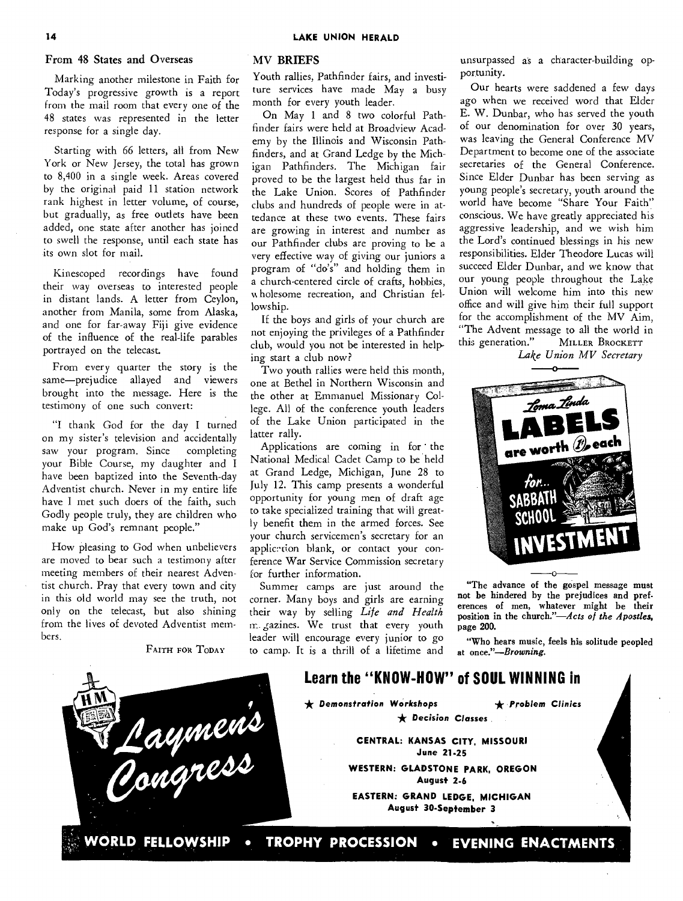#### From 48 States and Overseas

Marking another milestone in Faith for Today's progressive growth is a report from the mail room that every one of the 48 states was represented in the letter response for a single day.

Starting with 66 letters, all from New York or New Jersey, the total has grown to 8,400 in a single week. Areas covered by the original paid 11 station network rank highest in letter volume, of course, but gradually, as free outlets have been added, one state after another has joined to swell the response, until each state has its own slot for mail.

Kinescoped recordings have found their way overseas to interested people in distant lands. A letter from Ceylon, another from Manila, some from Alaska, and one for far-away Fiji give evidence of the influence of the real-life parables portrayed on the telecast.

From every quarter the story is the same—prejudice allayed and viewers brought into the message. Here is the testimony of one such convert:

"I thank God for the day I turned on my sister's television and accidentally saw your program. Since completing your Bible Course, my daughter and I have been baptized into the Seventh-day Adventist church. Never in my entire life have I met such doers of the faith, such Godly people truly, they are children who make up God's remnant people."

How pleasing to God when unbelievers are moved to bear such a testimony after meeting members of their nearest Adventist church. Pray that every town and city in this old world may see the truth, not only on the telecast, but also shining from the lives of devoted Adventist members.

FAITH FOR TODAY

#### MV BRIEFS

Youth rallies, Pathfinder fairs, and investiture services have made May a busy month for every youth leader.

On May 1 and 8 two colorful Pathfinder fairs were held at Broadview Academy by the Illinois and Wisconsin Pathfinders, and at Grand Ledge by the Michigan Pathfinders. The Michigan fair proved to be the largest held thus far in the Lake Union. Scores of Pathfinder clubs and hundreds of people were in attedance at these two events. These fairs are growing in interest and number as our Pathfinder clubs are proving to be a very effective way of giving our juniors a program of "do's" and holding them in a church-centered circle of crafts, hobbies, wholesome recreation, and Christian fellowship.

If the boys and girls of your church are not enjoying the privileges of a Pathfinder club, would you not be interested in helping start a club now?

Two youth rallies were held this month, one at Bethel in Northern Wisconsin and the other at Emmanuel Missionary College. All of the conference youth leaders of the Lake Union participated in the latter rally.

Applications are coming in for the National Medical Cadet Camp to be held at Grand Ledge, Michigan, June 28 to July 12. This camp presents a wonderful opportunity for young men of draft age to take specialized training that will greatly benefit them in the armed forces. See your church servicemen's secretary for an applic: rion blank, or contact your conference War Service Commission secretary for further information.

Summer camps are just around the corner. Many boys and girls are earning their way by selling *Life and Health*  m gazines. We trust that every youth leader will encourage every junior to go to camp. It is a thrill of a lifetime and

unsurpassed as a character-building opportunity.

Our hearts were saddened a few days ago when we received word that Elder E. W. Dunbar, who has served the youth of our denomination for over 30 years, was leaving the General Conference MV Department to become one of the associate secretaries of the General Conference. Since Elder Dunbar has been serving as young people's secretary, youth around the world have become "Share Your Faith" conscious. We have greatly appreciated his aggressive leadership, and we wish him the Lord's continued blessings in his new responsibilities. Elder Theodore Lucas will succeed Elder Dunbar, and we know that our young people throughout the Lake Union will welcome him into this new office and will give him their full support for the accomplishment of the MV Aim, "The Advent message to all the world in this generation." MILLER BROCKETT

*Lake Union MV Secretary* 



"The advance of the gospel message must not be hindered by the prejudices and preferences of men, whatever might be their position in the church."—Acts *of the Apostles,*  page 200.

"Who hears music, feels his solitude peopled at *once."—Browning.* 

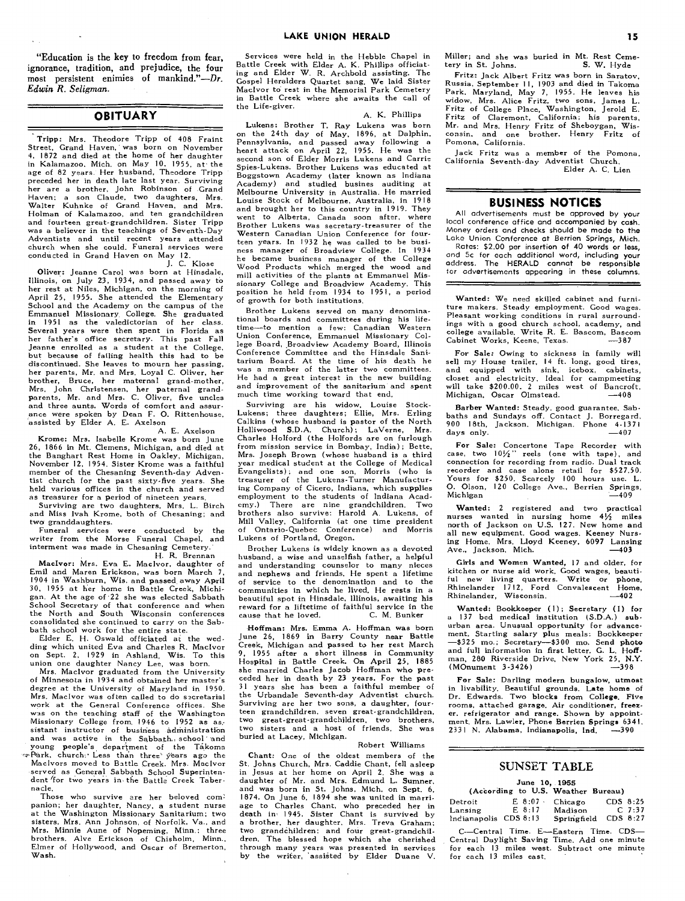"Education is the key to freedom from fear, ignorance, tradition, and prejudice, the four most persistent enimies of mankind."—Dr. *Edwin R. Seligman.* 

#### **OBITUARY**

Tripp: Mrs. Theodore Tripp of 408 Fraint Street, Grand Haven, was born on November 4, 1872 and died at the home of her daughter in Kalamazoo, Mich. on May 10, 1955, at• the age of 82 years. Her husband, Theodore Tripp preceded her in death late last year. Surviving her are a brother, John Robinson of Grand Haven; a son Claude, two daughters, Mrs. Walter Kuhnke of Grand Haven, and Mrs. Holman of Kalamazoo, and ten grandchildren and fourteen great-grandchildren. Sister Tripp was a believer in the teachings of Seventh-Day Adventists and until recent years attended church when she could. Funeral services were conducted in Grand Haven on May 12. J. C. Klose

Oliver: Jeanne Carol was born at Hinsdale, Illinois, on July 23, 1934, and passed away to her rest at Niles, Michigan, on the morning of April 25, 1955. She attended the Elementary School and the Academy on the campus of the Emmanuel Missionary. College. She graduated in **1951** as the valedictorian of her class. Several years were then spent in Florida as her father's office secretary. This past Fall Jeanne enrolled as a student at the College, but because of failing health this had to be discontinued. She leaves to mourn her passing, her parents, Mr. and Mrs. Loyal C. Oliver, her brother, Bruce, her maternal grand-mother, Mrs. John Christensen, her paternal grandparents, Mr. and Mrs. C. Oliver, five uncles and three aunts. Words of comfort and assurance were spoken by Dean F. **0.** Rittenhouse, assisted by Elder A. E. Axelson

A. E. Axelson Krome: Mrs. Isabelle Krome was born June 26, 1866 in Mt. Clemens, Michigan, and died at the Banghart Rest Home in Oakley, Michigan, November 12, 1954. Sister Krome was a faithful member of the Chesaning Seventh-day Adventist church for the past sixty-five years. She held various offices in the church and served as treasurer for a period of nineteen years.

Surviving are two daughters, Mrs. L. Birch and Miss Ivah Krome, both of Chesaning; and two granddaughters.

Funeral services were conducted by the writer from the Morse Funeral Chapel, and interment was made in Chesaning Cemetery. H. R. Brennan

MacIvor: Mrs. Eva E. Maclvor, daughter of Emil and Maren Erickson, was born March 7, 1904 in Washburn, Wis. and passed away April 30, 1955 at her home in Battle Creek, Michigan. At the age of 22 she was elected Sabbath<br>School Secretary of that conference and when<br>the North and South Wisconsin conferences consolidated she continued to carry on the Sab-

bath school work for the entire state.<br>Elder E. H. Oswald officiated at the wed-Elder E. H. Oswald officiated at the wed-ding which united Eva and Charles R. Maclvor on Sept. 2, 1929 in Ashland, Wis. To this on Sept. 2, 1929 in Ashland, Wis. To union one daughter Nancy Lee, was born.

Mrs. Maclvor graduated from the University of Minnesota in 1934 and obtained her master's degree at the University of Maryland in 1950. Mrs. Maclvor was of ten called to do secretarial work at the General Conference offices. She was on the teaching staff of the Washington Missionary College from. 1946 to 1952 as as. sistant instructor of business administration and was active in the Sabbath. school and young people's department of the Takoma<br>
ePark, church:' Less than three' years ago the Maclvors moved to Battle Creek. Mrs. Maclvor served as General Sabbath School Superintendent for two years in the Battle Creek Tabernacle.

Those who survive are her beloved companion; her daughter, Nancy, a student nurse at the Washington Missionary Sanitarium; two sisters, Mrs. Ann Johnson, of Norfolk, Va., and Mrs. Minnie Aune of Nopeming, Minn.; three brothers, Alve Erickson of Chisholm, Minn., Elmer of Hollywood, and Oscar of Bremerton, Wash.

Services were held in the Hebble Chapel in Battle Creek with Elder A. K. Phillips officiat-ing and Elder W. R. Archbold assisting. The Gospel Heralders Quartet sang. We laid Sister Maclvor to rest in the Memorial Park Cemetery in Battle Creek where she awaits the call of the Life-giver.

A. K. Phillips

Lukens: Brother T. Ray Lukens was born on the 24th day of May, 1896, at Dalphin, Pennsylvania, and passed away following a heart attack on April 22, 1955. He was the second son of Elder Morris Lukens and Carrie Spies-Lukens. Brother Lukens was educated at Boggstown Academy (later known as Indiana Academy) and studied busines auditing at Melbourne University in Australia. He married Louise Stock of Melbourne, Australia, in 1918 and brought her to this country in 1919. They went to Alberta, Canada soon after, where Brother Lukens was secretary-treasurer of the Western Canadian Union Conference for fourteen years. In 1932 he was called to be busi-ness manager of Broadview College. In 1934 he became business manager of the College Wood Products which merged the wood and mill activities of the plants at Emmanuel Mis-sionary College and Broadview Academy. This position he held from 1934 to 1951, a period of growth for both institutions.

Brother Lukens served on many denomina-tional boards and committees during his lifetime—to mention a few: Canadian Western Union Conference, Emmanuel Missionary College Board, ,Broadview Academy Board, Illinois Conference Committee and the Hinsdale Sanitarium Board. At the time of his death he was a member of the latter two committees. He had a great interest in the new building and improvement of the sanitarium and spent much time working toward that end.

Surviving are his widow, Louise Stock-Lukens; three daughters; Ellie, Mrs. Erling Calkins (whose husband is pastor of the North<br>Holliwood S.D.A. Church): LaVerne. Mrs. Holliwood S.D.A. Church); LaVerne, Charles Holford (the Holfords are on furlough from mission service in Bombay, India); Bette, Mrs. Joseph Brown (whose husband is a third year medical student at the College of Medical Evangelists); and one son, Morris (who is treasurer of the Lukens-Turner Manufacturing Company of Cicero, Indiana, which supplies employment to the students of Indiana Academy.) There are nine grandchildren. Two brothers also survive: Harold A. Lukens, of Mill Valley, California (at one time president of Ontario-Quebec Conference) and Morris Lukens of Portland, Oregon.

Brother Lukens is widely known as a devoted husband, a wise and unselfish father, a helpful and understanding counselor to many nieces and nephews and friends. He spent a lifetime of service to the denomination and to the communities in which he lived. He rests in a beautiful spot in Hinsdale, Illinois, awaiting his reward for a liftetime of faithful service in the cause that he loved.

Hoffman: Mrs. Emma A. Hoffman was born June 26, 1869 in Barry County near Battle Creek, Michigan and passed to her rest March 9, 1955 after a short illness in Community Hospital in Battle Creek. On April 25, 1885 she married Charles Jacob Hoffman who **preceded** her in death by 23 years. For the past 31 years she has been a faithful member of the Urbandale Seventh-day Adventist church. Surviving are her two sons, a daughter, fourteen grandchildren, seven great-grandchildren, two great-great-grandchildren, two brothers, two sisters and a host of friends. She was buried at Lacey, Michigan.

#### Robert Williams

**Chant:** One of the oldest members of the St. Johns Church, Mrs. Caddie Chant, fell asleep in Jesus at her home on April 2. She was a daughter of Mr. and Mrs. Edmund L. Sumner, and was born in St. Johns, Mich. on Sept. 6, 1874. On June 6, 1894 she was united in marriage to Charles Chant, who preceded her in death in' 1945. Sister Chant is survived by a brother, her daughter, Mrs. Treva Graham; two grandchildren; and four great-grandchil-<br>dren. The blessed hope which she cherished through many years was presented in services by the writer, 'assisted by Elder Duane V.

Miller; and she was buried in Mt. Rest Ceme-<br>tery in St. Johns. S. W. Hyde tery in St. Johns.

Fritz: Jack Albert Fritz was born in Saratov, Russia, September **II,** 1903 and died in Takoma Park, Maryland, May 7, 1955. He leaves his widow, Mrs. Alice Fritz, two sons, James L. Fritz of College Place, Washington, Jerold E. Fritz of Claremont, California; his parents, Mr. and Mrs. Henry Fritz of Sheboygan, Wisconsin, and one brother, Henry Fritz of Pomona, California.

Jack Fritz was a member of the Pomona, California Seventh-day Adventist Church. Elder A. C. Lien

#### **BUSINESS NOTICES**

All advertisements must be approved by your local conference office and accompanied by cash. Money orders and checks should be made to the Lake Union Conference at Berrien Springs, Mich. Rates: \$2.00 per insertion of 40 words or less, and 5c for each additional word, including your address. The HERALD cannot be responsible for advertisements appearing in these columns.

**Wanted:** We need skilled cabinet and furniture makers. Steady employment. Good wages. Pleasant working conditions in rural surroundings with a good church school, academy, and college available. Write R. E. Bascom, Bascom Cabinet Works, Keene, Texas. —387

For Sale: Owing to sickness in family will<br>sell my House trailer, 14 ft. long, good tires,<br>and equipped with sink, icebox, cabinets,<br>closet and electricity. Ideal for campmeeting<br>will take \$200.00. 2 miles west of Bancroft

**Barber Wanted:** Steady, good guarantee, Sab-baths and Sundays off. Contact J. Borregard, 900 18th, Jackson, Michigan. Phone 4-1371 days only.

**For Sale:** Concertone Tape Recorder with case, two  $10\frac{1}{2}$ " reels (one with tape), and connection for recording from radio. Dual track recorder and case alone retail for \$527.50. Yours for \$250. Scarcely 100 hours use. L. 0. Olson, 120 College Ave., Berrien Springs, Michigan

**Wanted:** 2 registered and two practical nurses wanted in nursing home  $4\frac{1}{2}$  miles north of Jackson on U.S. 127. New home and all new equipment. Good wages. Keeney Nurs-ing **Home. Mrs. Lloyd Keeney, 6097 Lansing**  Ave., Jackson, Mich. —403

Girls **and Women Wanted,** 17 and older, for kitchen or nurse aid work. Good wages, beauti-ful new living quarters. Write or phone, Rhinelander 1712, Ford Convalescent Home, Rhinelander, Wisconsin. —402

Wanted: Bookkeeper (1); Secretary (1) for a 137 bed medical institution (S.D.A.) **sub-urban** area. Unusual opportunity for advancement. Starting salary plus meals: Bookkeeper —\$325 mo.: Secretary—\$300 mo. Send photo and full information in first letter. G. L. **Hoff-man,** 280 Riverside Drive, New York 25, N.Y. ( MOnument 3 -3426) —398

**For Sale: Darling** modern bungalow, **utmost**  in livability. Beautiful grounds. **Late home** of Dr. Edwards. Two blocks from College. Five rooms, attached garage. Air conditioner, freez-er, refrigerator and range. Shown by appointment. Mrs. Lawler, Phone Berrien Springs 6341.<br>2331 N. Alahama Indianapolis Ind. -390. 2331 N. Alabama, Indianapolis, Ind.

#### SUNSET TABLE

#### **June 10, 1955**

|                       | (According to U.S. Weather Bureau.) |             |            |
|-----------------------|-------------------------------------|-------------|------------|
| Detroit               | $E 8:07$ .                          | Chicago     | $CDS_8:25$ |
| Lansing               | $E$ 8:17                            | Madison     | $C$ 7:37   |
| Indianapolis CDS 8:13 |                                     | Springfield | $CDS_8:27$ |

C--Central Time. E—Eastern Time. CDS— Central Daylight Saving Time. Add one minute for each 13 miles west. Subtract one minute for each 13 miles east.